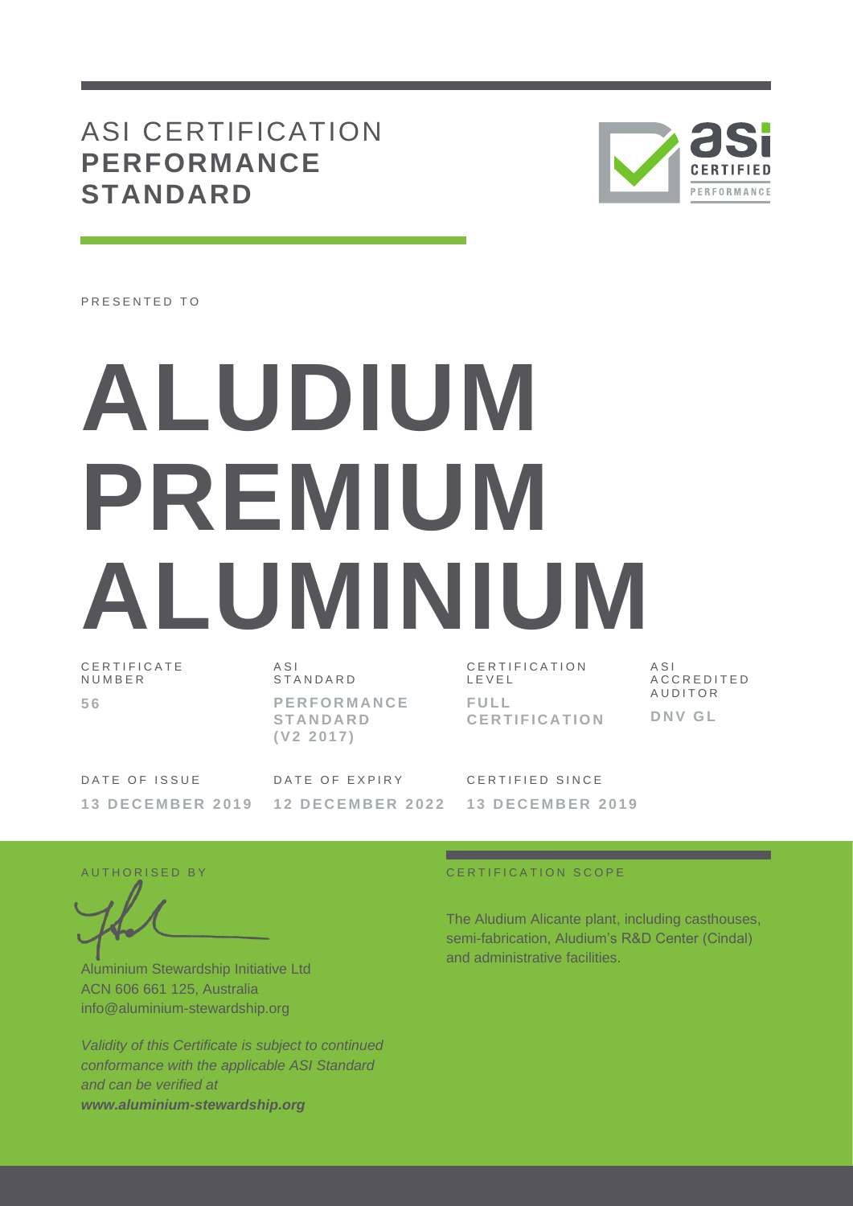## ASI CERTIFICATION **PERFORMANCE STANDARD**



PRESENTED TO

# **ALUDIUM PREMIUM ALUMINIUM** C E R T I F I C A T E

N U M B E R **5 6**

A S I **STANDARD P E R F O R M A N C E S T A N D A R D ( V 2 2 0 1 7 )**

CERTIFICATION L E V E L **F U L L C E R T I F I C A T I O N** A S I A C C R E D I T E D **AUDITOR D N V G L**

DATE OF ISSUE **1 3 D E C E M B E R 2 0 1 9**

DATE OF EXPIRY **1 2 D E C E M B E R 2 0 2 2** CERTIFIED SINCE **1 3 D E C E M B E R 2 0 1 9**

Aluminium Stewardship Initiative Ltd ACN 606 661 125, Australia info@aluminium-stewardship.org

*Validity of this Certificate is subject to continued conformance with the applicable ASI Standard and can be verified at www.aluminium-stewardship.org*

#### A U T HORISED BY A LOCAL CONTRACTED AND THE CATTERNIA COPE

The Aludium Alicante plant, including casthouses, semi-fabrication, Aludium's R&D Center (Cindal) and administrative facilities.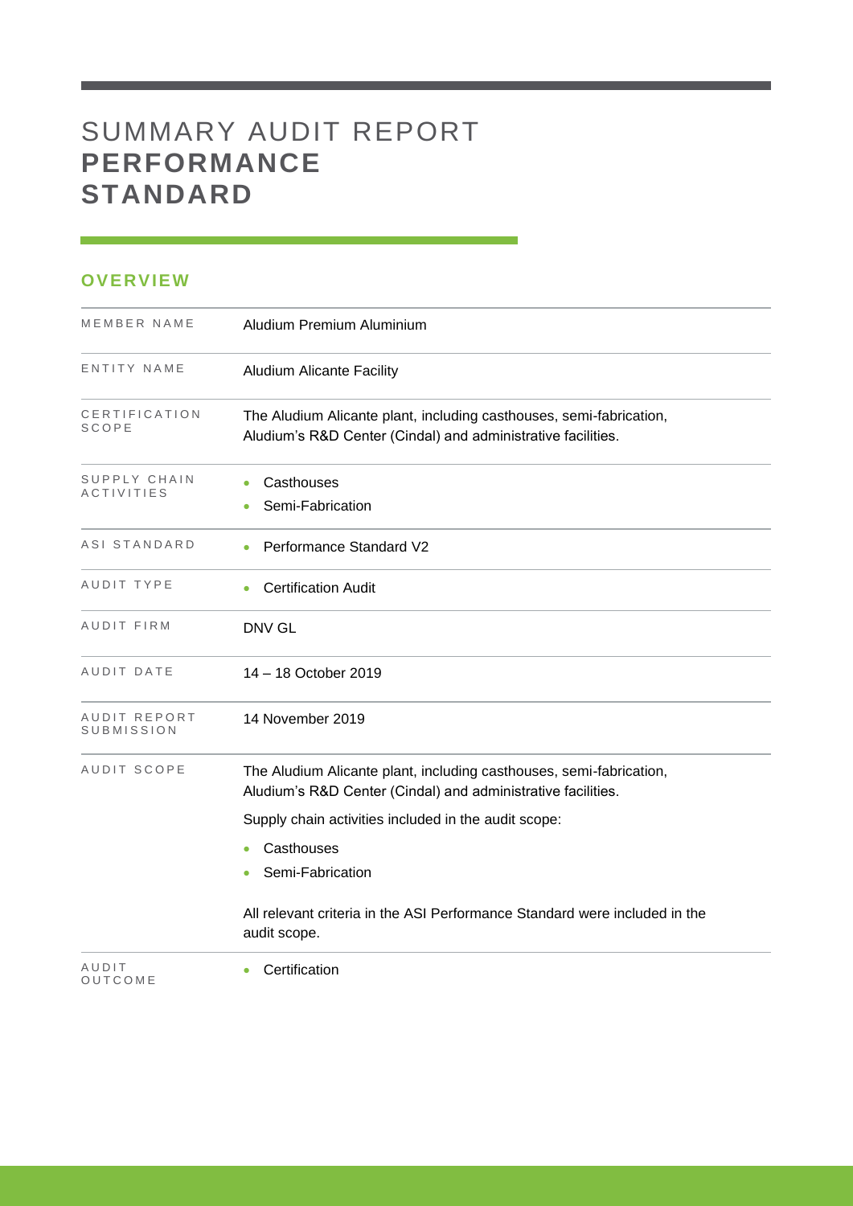# SUMMARY AUDIT REPORT **PERFORMANCE STANDARD**

### **OVERVIEW**

| MEMBER NAME                       | Aludium Premium Aluminium                                                                                                           |
|-----------------------------------|-------------------------------------------------------------------------------------------------------------------------------------|
| ENTITY NAME                       | <b>Aludium Alicante Facility</b>                                                                                                    |
| CERTIFICATION<br>SCOPE            | The Aludium Alicante plant, including casthouses, semi-fabrication,<br>Aludium's R&D Center (Cindal) and administrative facilities. |
| SUPPLY CHAIN<br><b>ACTIVITIES</b> | Casthouses<br>Semi-Fabrication                                                                                                      |
| ASI STANDARD                      | Performance Standard V2                                                                                                             |
| AUDIT TYPE                        | <b>Certification Audit</b><br>٠                                                                                                     |
| AUDIT FIRM                        | DNV GL                                                                                                                              |
| AUDIT DATE                        | 14 - 18 October 2019                                                                                                                |
| AUDIT REPORT<br>SUBMISSION        | 14 November 2019                                                                                                                    |
| AUDIT SCOPE                       | The Aludium Alicante plant, including casthouses, semi-fabrication,<br>Aludium's R&D Center (Cindal) and administrative facilities. |
|                                   | Supply chain activities included in the audit scope:                                                                                |
|                                   | Casthouses<br>۰<br>Semi-Fabrication                                                                                                 |
|                                   | All relevant criteria in the ASI Performance Standard were included in the<br>audit scope.                                          |
| AUDIT<br>OUTCOME                  | Certification                                                                                                                       |

and the control of the control of the control of the control of the control of the control of the control of the control of the control of the control of the control of the control of the control of the control of the cont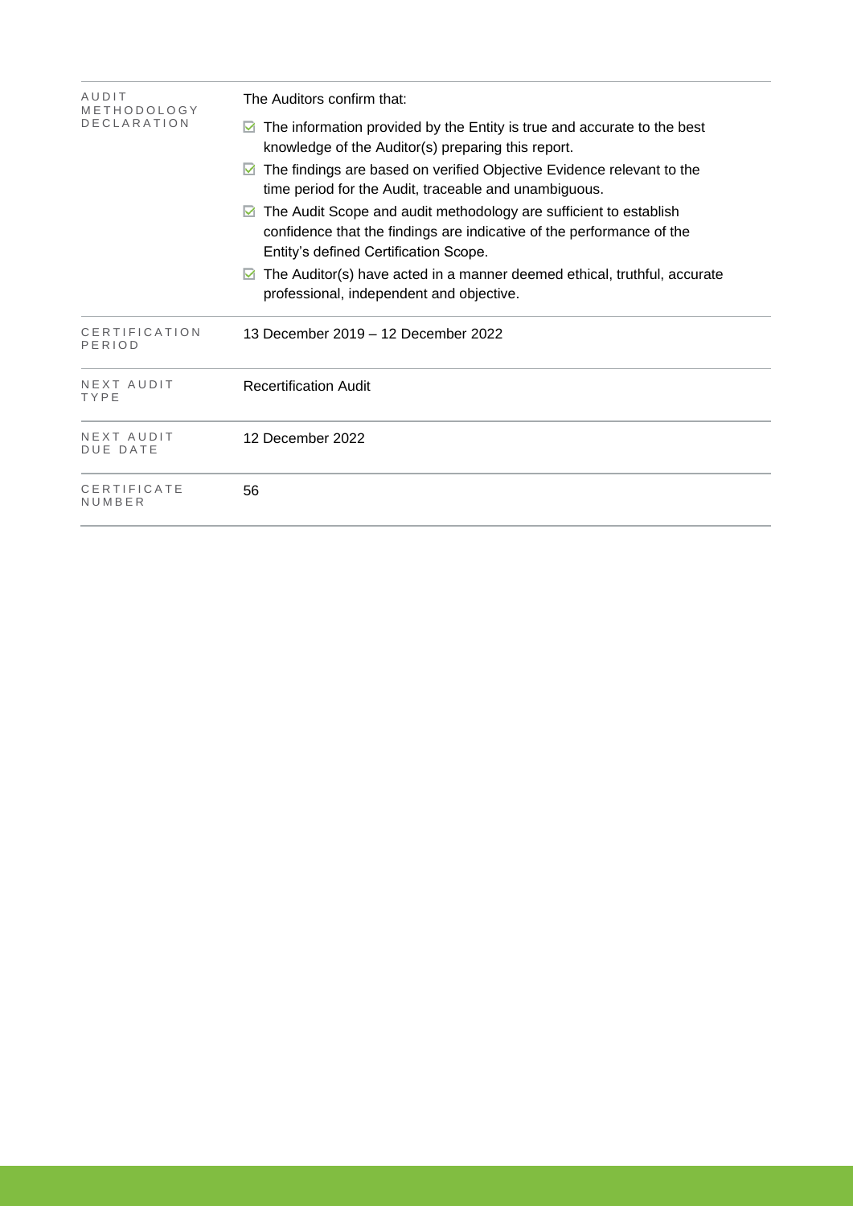| AUDIT<br>METHODOLOGY          | The Auditors confirm that:                                                                                                                                                          |  |  |  |  |
|-------------------------------|-------------------------------------------------------------------------------------------------------------------------------------------------------------------------------------|--|--|--|--|
| <b>DECLARATION</b>            | The information provided by the Entity is true and accurate to the best<br>knowledge of the Auditor(s) preparing this report.                                                       |  |  |  |  |
|                               | The findings are based on verified Objective Evidence relevant to the<br>M<br>time period for the Audit, traceable and unambiguous.                                                 |  |  |  |  |
|                               | The Audit Scope and audit methodology are sufficient to establish<br>confidence that the findings are indicative of the performance of the<br>Entity's defined Certification Scope. |  |  |  |  |
|                               | The Auditor(s) have acted in a manner deemed ethical, truthful, accurate<br>professional, independent and objective.                                                                |  |  |  |  |
| CERTIFICATION<br>PERIOD       | 13 December 2019 – 12 December 2022                                                                                                                                                 |  |  |  |  |
| NEXT AUDIT<br>TYPE            | <b>Recertification Audit</b>                                                                                                                                                        |  |  |  |  |
| NEXT AUDIT<br><b>DUE DATE</b> | 12 December 2022                                                                                                                                                                    |  |  |  |  |
| CERTIFICATE<br>NUMBER         | 56                                                                                                                                                                                  |  |  |  |  |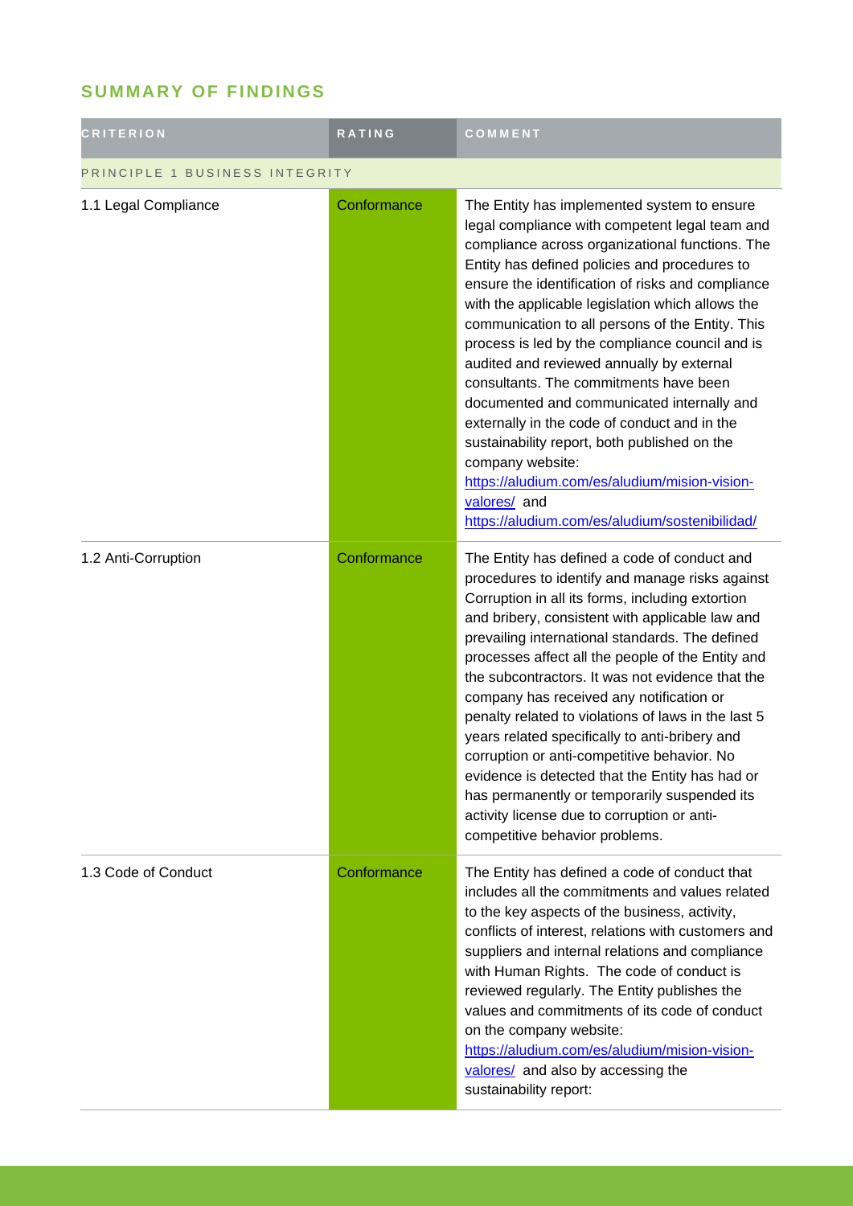## **SUMMARY OF FINDINGS**

| <b>CRITERION</b>               | <b>RATING</b> | COMMENT                                                                                                                                                                                                                                                                                                                                                                                                                                                                                                                                                                                                                                                                                                                                                                                       |  |
|--------------------------------|---------------|-----------------------------------------------------------------------------------------------------------------------------------------------------------------------------------------------------------------------------------------------------------------------------------------------------------------------------------------------------------------------------------------------------------------------------------------------------------------------------------------------------------------------------------------------------------------------------------------------------------------------------------------------------------------------------------------------------------------------------------------------------------------------------------------------|--|
| PRINCIPLE 1 BUSINESS INTEGRITY |               |                                                                                                                                                                                                                                                                                                                                                                                                                                                                                                                                                                                                                                                                                                                                                                                               |  |
| 1.1 Legal Compliance           | Conformance   | The Entity has implemented system to ensure<br>legal compliance with competent legal team and<br>compliance across organizational functions. The<br>Entity has defined policies and procedures to<br>ensure the identification of risks and compliance<br>with the applicable legislation which allows the<br>communication to all persons of the Entity. This<br>process is led by the compliance council and is<br>audited and reviewed annually by external<br>consultants. The commitments have been<br>documented and communicated internally and<br>externally in the code of conduct and in the<br>sustainability report, both published on the<br>company website:<br>https://aludium.com/es/aludium/mision-vision-<br>valores/ and<br>https://aludium.com/es/aludium/sostenibilidad/ |  |
| 1.2 Anti-Corruption            | Conformance   | The Entity has defined a code of conduct and<br>procedures to identify and manage risks against<br>Corruption in all its forms, including extortion<br>and bribery, consistent with applicable law and<br>prevailing international standards. The defined<br>processes affect all the people of the Entity and<br>the subcontractors. It was not evidence that the<br>company has received any notification or<br>penalty related to violations of laws in the last 5<br>years related specifically to anti-bribery and<br>corruption or anti-competitive behavior. No<br>evidence is detected that the Entity has had or<br>has permanently or temporarily suspended its<br>activity license due to corruption or anti-<br>competitive behavior problems.                                    |  |
| 1.3 Code of Conduct            | Conformance   | The Entity has defined a code of conduct that<br>includes all the commitments and values related<br>to the key aspects of the business, activity,<br>conflicts of interest, relations with customers and<br>suppliers and internal relations and compliance<br>with Human Rights. The code of conduct is<br>reviewed regularly. The Entity publishes the<br>values and commitments of its code of conduct<br>on the company website:<br>https://aludium.com/es/aludium/mision-vision-<br>valores/ and also by accessing the<br>sustainability report:                                                                                                                                                                                                                                         |  |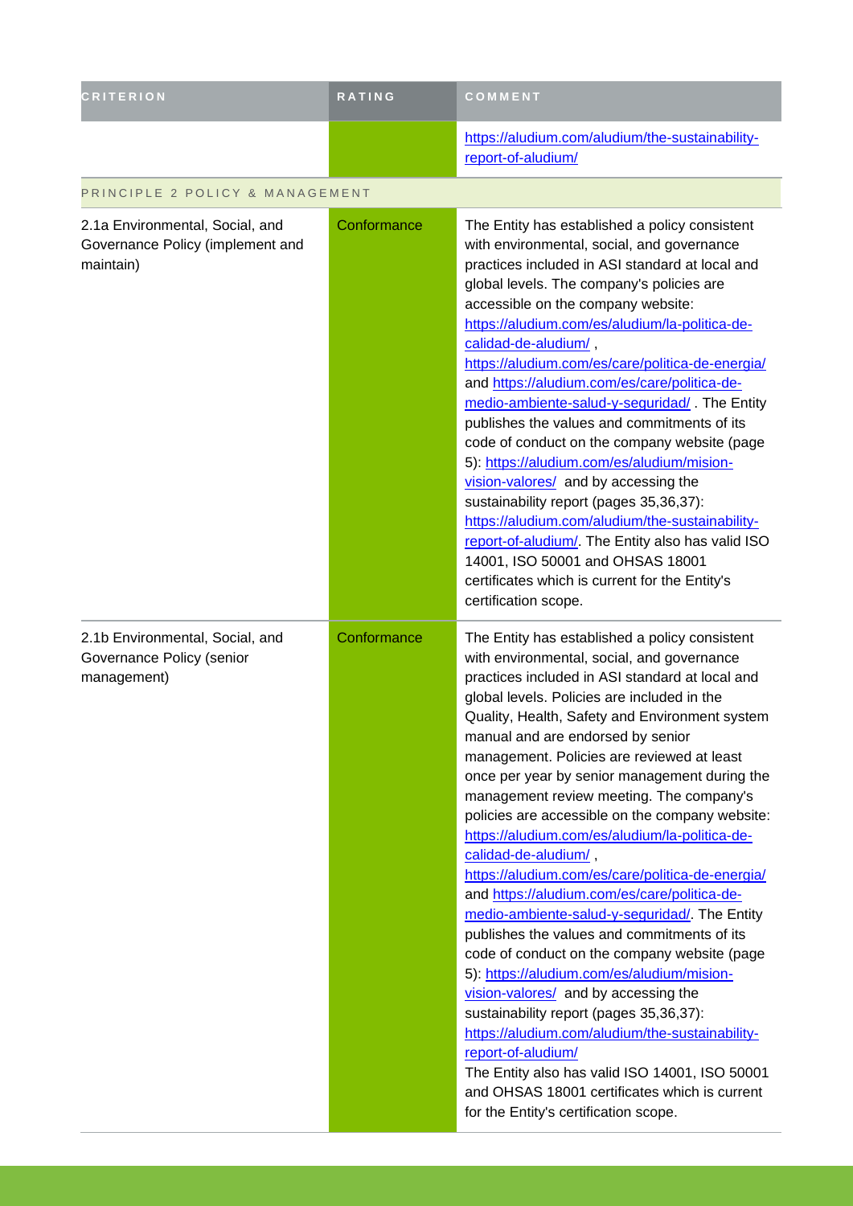| <b>CRITERION</b>                                                                 | RATING      | COMMENT                                                                                                                                                                                                                                                                                                                                                                                                                                                                                                                                                                                                                                                                                                                                                                                                                                                                                                                                                                                                                                                                                                                                                                 |  |
|----------------------------------------------------------------------------------|-------------|-------------------------------------------------------------------------------------------------------------------------------------------------------------------------------------------------------------------------------------------------------------------------------------------------------------------------------------------------------------------------------------------------------------------------------------------------------------------------------------------------------------------------------------------------------------------------------------------------------------------------------------------------------------------------------------------------------------------------------------------------------------------------------------------------------------------------------------------------------------------------------------------------------------------------------------------------------------------------------------------------------------------------------------------------------------------------------------------------------------------------------------------------------------------------|--|
|                                                                                  |             | https://aludium.com/aludium/the-sustainability-<br>report-of-aludium/                                                                                                                                                                                                                                                                                                                                                                                                                                                                                                                                                                                                                                                                                                                                                                                                                                                                                                                                                                                                                                                                                                   |  |
| PRINCIPLE 2 POLICY & MANAGEMENT                                                  |             |                                                                                                                                                                                                                                                                                                                                                                                                                                                                                                                                                                                                                                                                                                                                                                                                                                                                                                                                                                                                                                                                                                                                                                         |  |
| 2.1a Environmental, Social, and<br>Governance Policy (implement and<br>maintain) | Conformance | The Entity has established a policy consistent<br>with environmental, social, and governance<br>practices included in ASI standard at local and<br>global levels. The company's policies are<br>accessible on the company website:<br>https://aludium.com/es/aludium/la-politica-de-<br>calidad-de-aludium/,<br>https://aludium.com/es/care/politica-de-energia/<br>and https://aludium.com/es/care/politica-de-<br>medio-ambiente-salud-y-seguridad/. The Entity<br>publishes the values and commitments of its<br>code of conduct on the company website (page<br>5): https://aludium.com/es/aludium/mision-<br>vision-valores/ and by accessing the<br>sustainability report (pages 35,36,37):<br>https://aludium.com/aludium/the-sustainability-<br>report-of-aludium/. The Entity also has valid ISO<br>14001, ISO 50001 and OHSAS 18001<br>certificates which is current for the Entity's<br>certification scope.                                                                                                                                                                                                                                                 |  |
| 2.1b Environmental, Social, and<br>Governance Policy (senior<br>management)      | Conformance | The Entity has established a policy consistent<br>with environmental, social, and governance<br>practices included in ASI standard at local and<br>global levels. Policies are included in the<br>Quality, Health, Safety and Environment system<br>manual and are endorsed by senior<br>management. Policies are reviewed at least<br>once per year by senior management during the<br>management review meeting. The company's<br>policies are accessible on the company website:<br>https://aludium.com/es/aludium/la-politica-de-<br>calidad-de-aludium/,<br>https://aludium.com/es/care/politica-de-energia/<br>and https://aludium.com/es/care/politica-de-<br>medio-ambiente-salud-y-seguridad/. The Entity<br>publishes the values and commitments of its<br>code of conduct on the company website (page<br>5): https://aludium.com/es/aludium/mision-<br>vision-valores/ and by accessing the<br>sustainability report (pages 35,36,37):<br>https://aludium.com/aludium/the-sustainability-<br>report-of-aludium/<br>The Entity also has valid ISO 14001, ISO 50001<br>and OHSAS 18001 certificates which is current<br>for the Entity's certification scope. |  |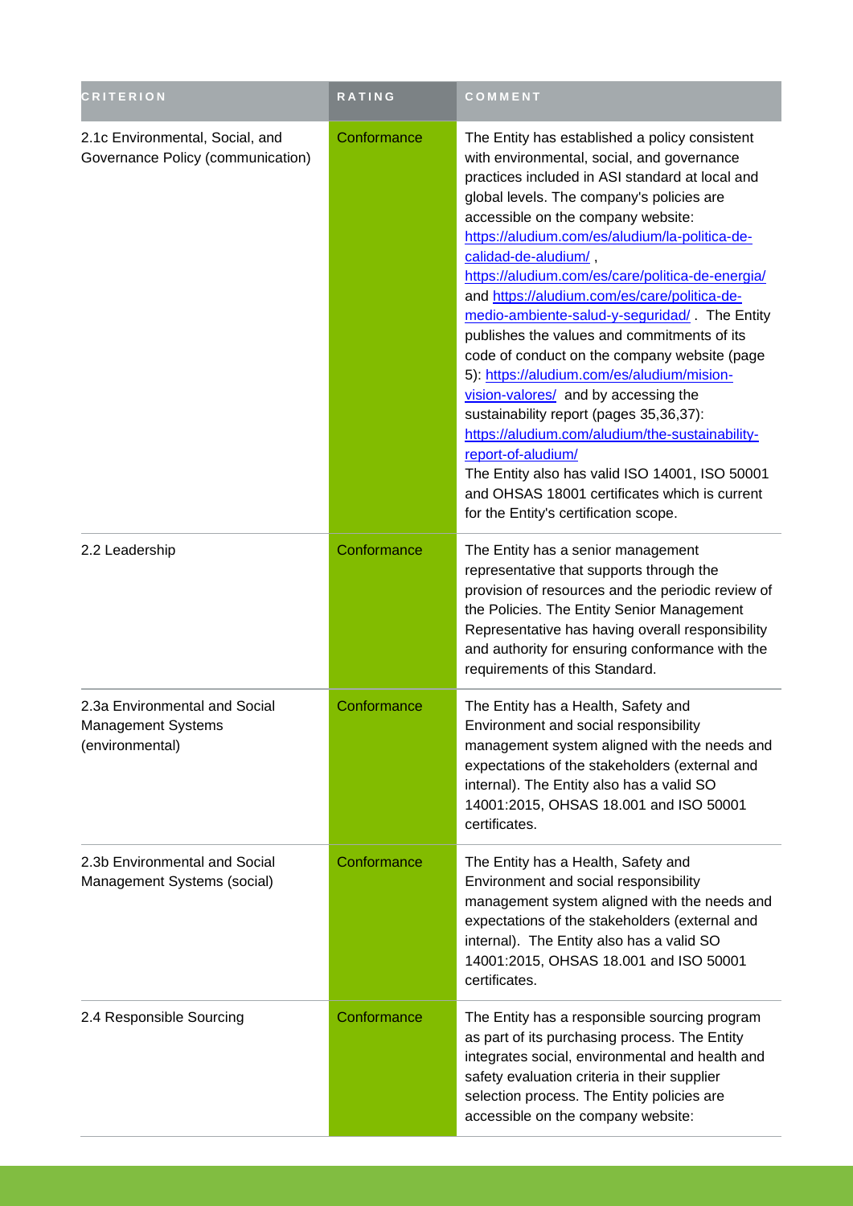| <b>CRITERION</b>                                                       | RATING      | COMMENT                                                                                                                                                                                                                                                                                                                                                                                                                                                                                                                                                                                                                                                                                                                                                                                                                                                                                                                |
|------------------------------------------------------------------------|-------------|------------------------------------------------------------------------------------------------------------------------------------------------------------------------------------------------------------------------------------------------------------------------------------------------------------------------------------------------------------------------------------------------------------------------------------------------------------------------------------------------------------------------------------------------------------------------------------------------------------------------------------------------------------------------------------------------------------------------------------------------------------------------------------------------------------------------------------------------------------------------------------------------------------------------|
| 2.1c Environmental, Social, and<br>Governance Policy (communication)   | Conformance | The Entity has established a policy consistent<br>with environmental, social, and governance<br>practices included in ASI standard at local and<br>global levels. The company's policies are<br>accessible on the company website:<br>https://aludium.com/es/aludium/la-politica-de-<br>calidad-de-aludium/,<br>https://aludium.com/es/care/politica-de-energia/<br>and https://aludium.com/es/care/politica-de-<br>medio-ambiente-salud-y-seguridad/. The Entity<br>publishes the values and commitments of its<br>code of conduct on the company website (page<br>5): https://aludium.com/es/aludium/mision-<br>vision-valores/ and by accessing the<br>sustainability report (pages 35,36,37):<br>https://aludium.com/aludium/the-sustainability-<br>report-of-aludium/<br>The Entity also has valid ISO 14001, ISO 50001<br>and OHSAS 18001 certificates which is current<br>for the Entity's certification scope. |
| 2.2 Leadership                                                         | Conformance | The Entity has a senior management<br>representative that supports through the<br>provision of resources and the periodic review of<br>the Policies. The Entity Senior Management<br>Representative has having overall responsibility<br>and authority for ensuring conformance with the<br>requirements of this Standard.                                                                                                                                                                                                                                                                                                                                                                                                                                                                                                                                                                                             |
| 2.3a Environmental and Social<br>Management Systems<br>(environmental) | Conformance | The Entity has a Health, Safety and<br>Environment and social responsibility<br>management system aligned with the needs and<br>expectations of the stakeholders (external and<br>internal). The Entity also has a valid SO<br>14001:2015, OHSAS 18.001 and ISO 50001<br>certificates.                                                                                                                                                                                                                                                                                                                                                                                                                                                                                                                                                                                                                                 |
| 2.3b Environmental and Social<br>Management Systems (social)           | Conformance | The Entity has a Health, Safety and<br>Environment and social responsibility<br>management system aligned with the needs and<br>expectations of the stakeholders (external and<br>internal). The Entity also has a valid SO<br>14001:2015, OHSAS 18.001 and ISO 50001<br>certificates.                                                                                                                                                                                                                                                                                                                                                                                                                                                                                                                                                                                                                                 |
| 2.4 Responsible Sourcing                                               | Conformance | The Entity has a responsible sourcing program<br>as part of its purchasing process. The Entity<br>integrates social, environmental and health and<br>safety evaluation criteria in their supplier<br>selection process. The Entity policies are<br>accessible on the company website:                                                                                                                                                                                                                                                                                                                                                                                                                                                                                                                                                                                                                                  |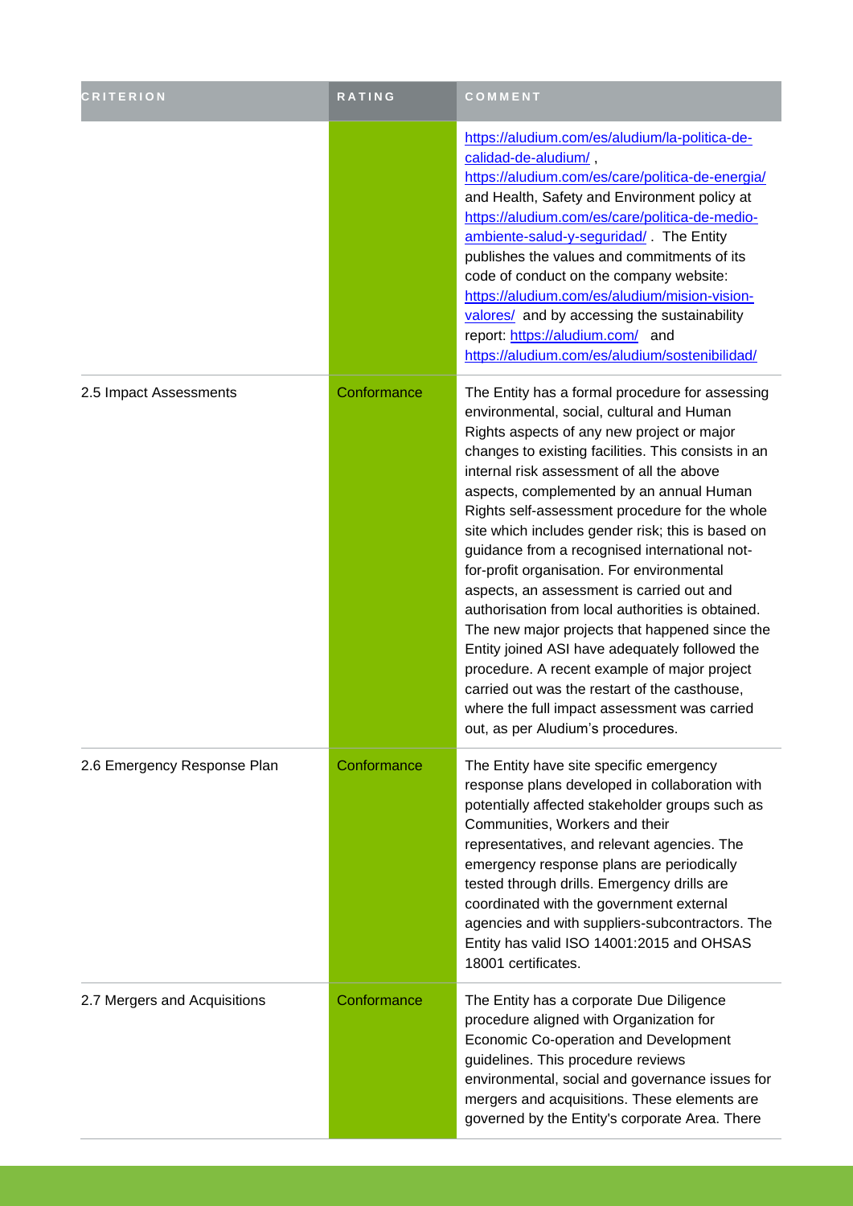| <b>CRITERION</b>             | RATING      | COMMENT                                                                                                                                                                                                                                                                                                                                                                                                                                                                                                                                                                                                                                                                                                                                                                                                                                                                                      |
|------------------------------|-------------|----------------------------------------------------------------------------------------------------------------------------------------------------------------------------------------------------------------------------------------------------------------------------------------------------------------------------------------------------------------------------------------------------------------------------------------------------------------------------------------------------------------------------------------------------------------------------------------------------------------------------------------------------------------------------------------------------------------------------------------------------------------------------------------------------------------------------------------------------------------------------------------------|
|                              |             | https://aludium.com/es/aludium/la-politica-de-<br>calidad-de-aludium/,<br>https://aludium.com/es/care/politica-de-energia/<br>and Health, Safety and Environment policy at<br>https://aludium.com/es/care/politica-de-medio-<br>ambiente-salud-y-seguridad/. The Entity<br>publishes the values and commitments of its<br>code of conduct on the company website:<br>https://aludium.com/es/aludium/mision-vision-<br>valores/ and by accessing the sustainability<br>report: https://aludium.com/ and<br>https://aludium.com/es/aludium/sostenibilidad/                                                                                                                                                                                                                                                                                                                                     |
| 2.5 Impact Assessments       | Conformance | The Entity has a formal procedure for assessing<br>environmental, social, cultural and Human<br>Rights aspects of any new project or major<br>changes to existing facilities. This consists in an<br>internal risk assessment of all the above<br>aspects, complemented by an annual Human<br>Rights self-assessment procedure for the whole<br>site which includes gender risk; this is based on<br>guidance from a recognised international not-<br>for-profit organisation. For environmental<br>aspects, an assessment is carried out and<br>authorisation from local authorities is obtained.<br>The new major projects that happened since the<br>Entity joined ASI have adequately followed the<br>procedure. A recent example of major project<br>carried out was the restart of the casthouse,<br>where the full impact assessment was carried<br>out, as per Aludium's procedures. |
| 2.6 Emergency Response Plan  | Conformance | The Entity have site specific emergency<br>response plans developed in collaboration with<br>potentially affected stakeholder groups such as<br>Communities, Workers and their<br>representatives, and relevant agencies. The<br>emergency response plans are periodically<br>tested through drills. Emergency drills are<br>coordinated with the government external<br>agencies and with suppliers-subcontractors. The<br>Entity has valid ISO 14001:2015 and OHSAS<br>18001 certificates.                                                                                                                                                                                                                                                                                                                                                                                                 |
| 2.7 Mergers and Acquisitions | Conformance | The Entity has a corporate Due Diligence<br>procedure aligned with Organization for<br>Economic Co-operation and Development<br>guidelines. This procedure reviews<br>environmental, social and governance issues for<br>mergers and acquisitions. These elements are<br>governed by the Entity's corporate Area. There                                                                                                                                                                                                                                                                                                                                                                                                                                                                                                                                                                      |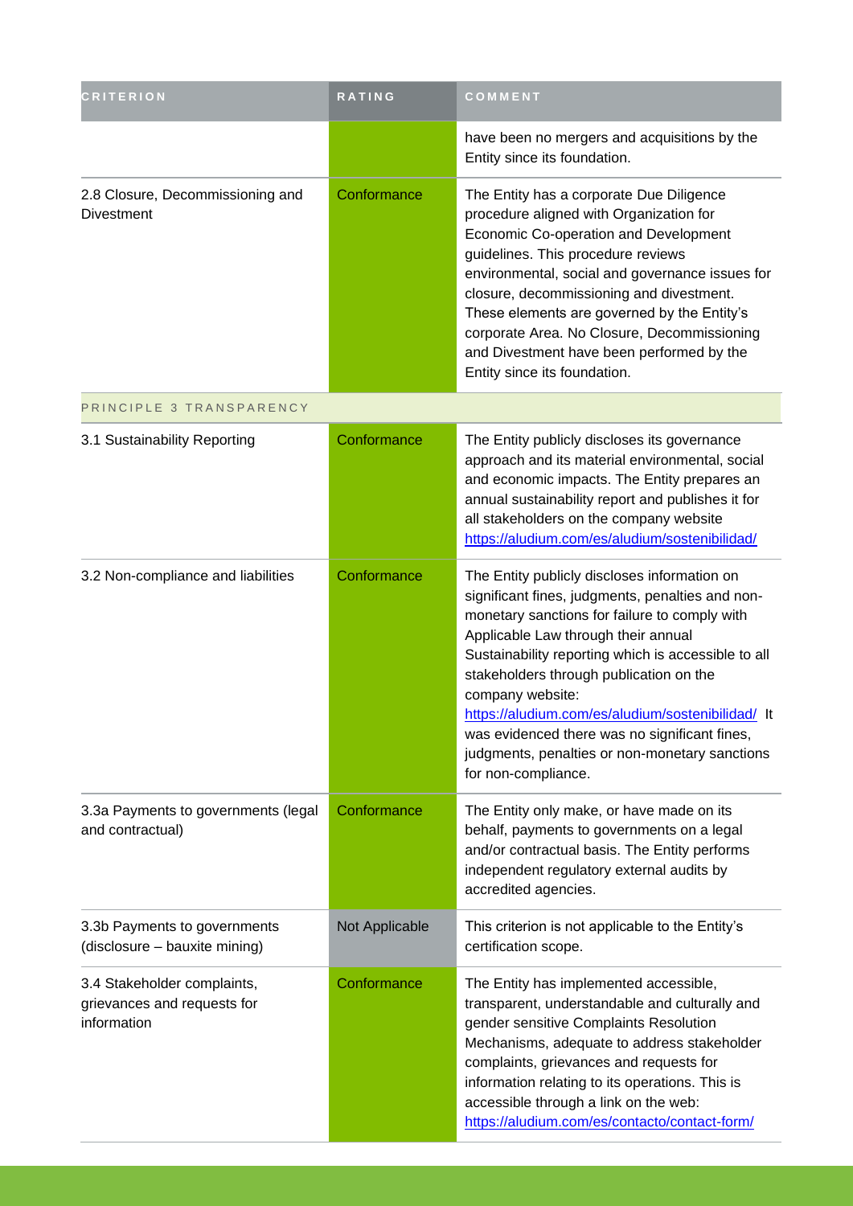| <b>CRITERION</b>                                                          | RATING         | COMMENT                                                                                                                                                                                                                                                                                                                                                                                                                                                                                       |
|---------------------------------------------------------------------------|----------------|-----------------------------------------------------------------------------------------------------------------------------------------------------------------------------------------------------------------------------------------------------------------------------------------------------------------------------------------------------------------------------------------------------------------------------------------------------------------------------------------------|
|                                                                           |                | have been no mergers and acquisitions by the<br>Entity since its foundation.                                                                                                                                                                                                                                                                                                                                                                                                                  |
| 2.8 Closure, Decommissioning and<br><b>Divestment</b>                     | Conformance    | The Entity has a corporate Due Diligence<br>procedure aligned with Organization for<br>Economic Co-operation and Development<br>guidelines. This procedure reviews<br>environmental, social and governance issues for<br>closure, decommissioning and divestment.<br>These elements are governed by the Entity's<br>corporate Area. No Closure, Decommissioning<br>and Divestment have been performed by the<br>Entity since its foundation.                                                  |
| PRINCIPLE 3 TRANSPARENCY                                                  |                |                                                                                                                                                                                                                                                                                                                                                                                                                                                                                               |
| 3.1 Sustainability Reporting                                              | Conformance    | The Entity publicly discloses its governance<br>approach and its material environmental, social<br>and economic impacts. The Entity prepares an<br>annual sustainability report and publishes it for<br>all stakeholders on the company website<br>https://aludium.com/es/aludium/sostenibilidad/                                                                                                                                                                                             |
| 3.2 Non-compliance and liabilities                                        | Conformance    | The Entity publicly discloses information on<br>significant fines, judgments, penalties and non-<br>monetary sanctions for failure to comply with<br>Applicable Law through their annual<br>Sustainability reporting which is accessible to all<br>stakeholders through publication on the<br>company website:<br>https://aludium.com/es/aludium/sostenibilidad/ It<br>was evidenced there was no significant fines,<br>judgments, penalties or non-monetary sanctions<br>for non-compliance. |
| 3.3a Payments to governments (legal<br>and contractual)                   | Conformance    | The Entity only make, or have made on its<br>behalf, payments to governments on a legal<br>and/or contractual basis. The Entity performs<br>independent regulatory external audits by<br>accredited agencies.                                                                                                                                                                                                                                                                                 |
| 3.3b Payments to governments<br>(disclosure - bauxite mining)             | Not Applicable | This criterion is not applicable to the Entity's<br>certification scope.                                                                                                                                                                                                                                                                                                                                                                                                                      |
| 3.4 Stakeholder complaints,<br>grievances and requests for<br>information | Conformance    | The Entity has implemented accessible,<br>transparent, understandable and culturally and<br>gender sensitive Complaints Resolution<br>Mechanisms, adequate to address stakeholder<br>complaints, grievances and requests for<br>information relating to its operations. This is<br>accessible through a link on the web:<br>https://aludium.com/es/contacto/contact-form/                                                                                                                     |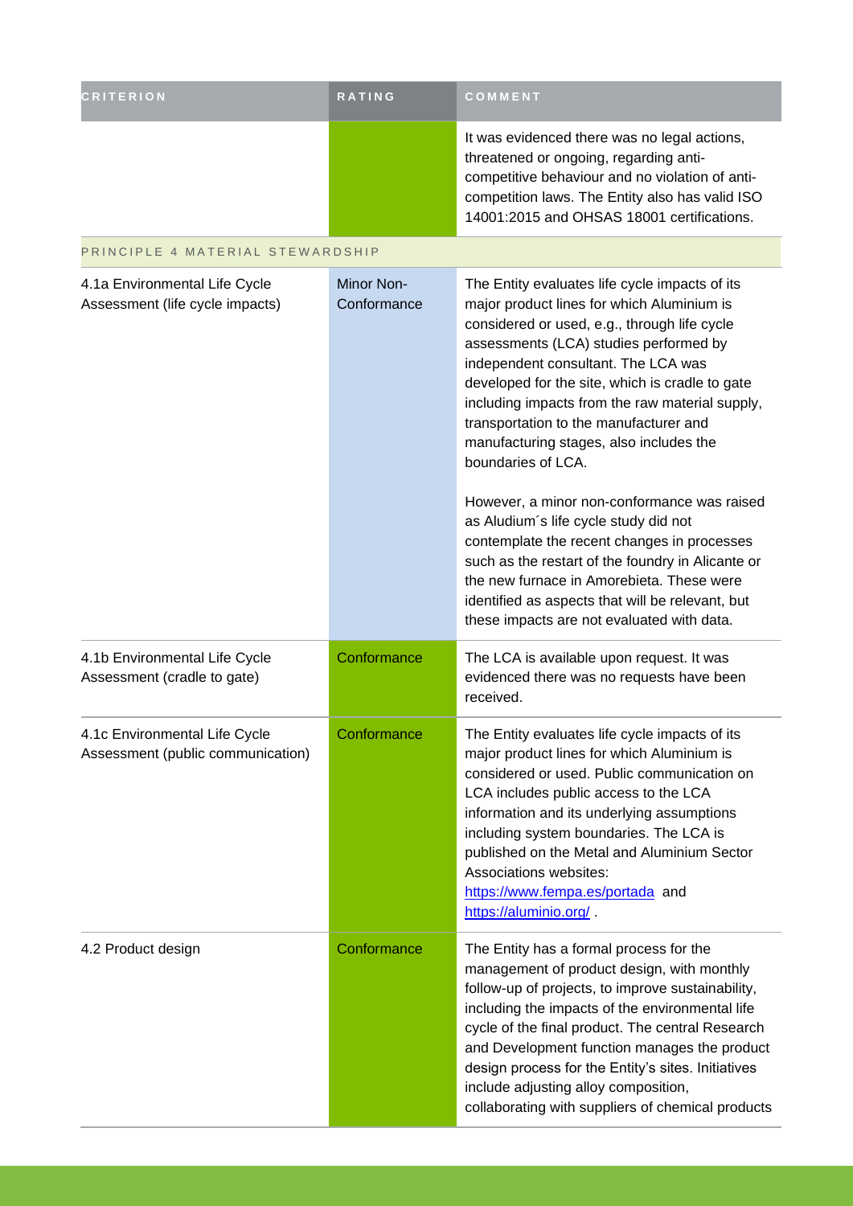| <b>CRITERION</b>                                                   | RATING                    | COMMENT                                                                                                                                                                                                                                                                                                                                                                                                                                              |
|--------------------------------------------------------------------|---------------------------|------------------------------------------------------------------------------------------------------------------------------------------------------------------------------------------------------------------------------------------------------------------------------------------------------------------------------------------------------------------------------------------------------------------------------------------------------|
|                                                                    |                           | It was evidenced there was no legal actions,<br>threatened or ongoing, regarding anti-<br>competitive behaviour and no violation of anti-<br>competition laws. The Entity also has valid ISO<br>14001:2015 and OHSAS 18001 certifications.                                                                                                                                                                                                           |
| PRINCIPLE 4 MATERIAL STEWARDSHIP                                   |                           |                                                                                                                                                                                                                                                                                                                                                                                                                                                      |
| 4.1a Environmental Life Cycle<br>Assessment (life cycle impacts)   | Minor Non-<br>Conformance | The Entity evaluates life cycle impacts of its<br>major product lines for which Aluminium is<br>considered or used, e.g., through life cycle<br>assessments (LCA) studies performed by<br>independent consultant. The LCA was<br>developed for the site, which is cradle to gate<br>including impacts from the raw material supply,<br>transportation to the manufacturer and<br>manufacturing stages, also includes the<br>boundaries of LCA.       |
|                                                                    |                           | However, a minor non-conformance was raised<br>as Aludium's life cycle study did not<br>contemplate the recent changes in processes<br>such as the restart of the foundry in Alicante or<br>the new furnace in Amorebieta. These were<br>identified as aspects that will be relevant, but<br>these impacts are not evaluated with data.                                                                                                              |
| 4.1b Environmental Life Cycle<br>Assessment (cradle to gate)       | Conformance               | The LCA is available upon request. It was<br>evidenced there was no requests have been<br>received.                                                                                                                                                                                                                                                                                                                                                  |
| 4.1c Environmental Life Cycle<br>Assessment (public communication) | Conformance               | The Entity evaluates life cycle impacts of its<br>major product lines for which Aluminium is<br>considered or used. Public communication on<br>LCA includes public access to the LCA<br>information and its underlying assumptions<br>including system boundaries. The LCA is<br>published on the Metal and Aluminium Sector<br>Associations websites:<br>https://www.fempa.es/portada and<br>https://aluminio.org/                                  |
| 4.2 Product design                                                 | Conformance               | The Entity has a formal process for the<br>management of product design, with monthly<br>follow-up of projects, to improve sustainability,<br>including the impacts of the environmental life<br>cycle of the final product. The central Research<br>and Development function manages the product<br>design process for the Entity's sites. Initiatives<br>include adjusting alloy composition,<br>collaborating with suppliers of chemical products |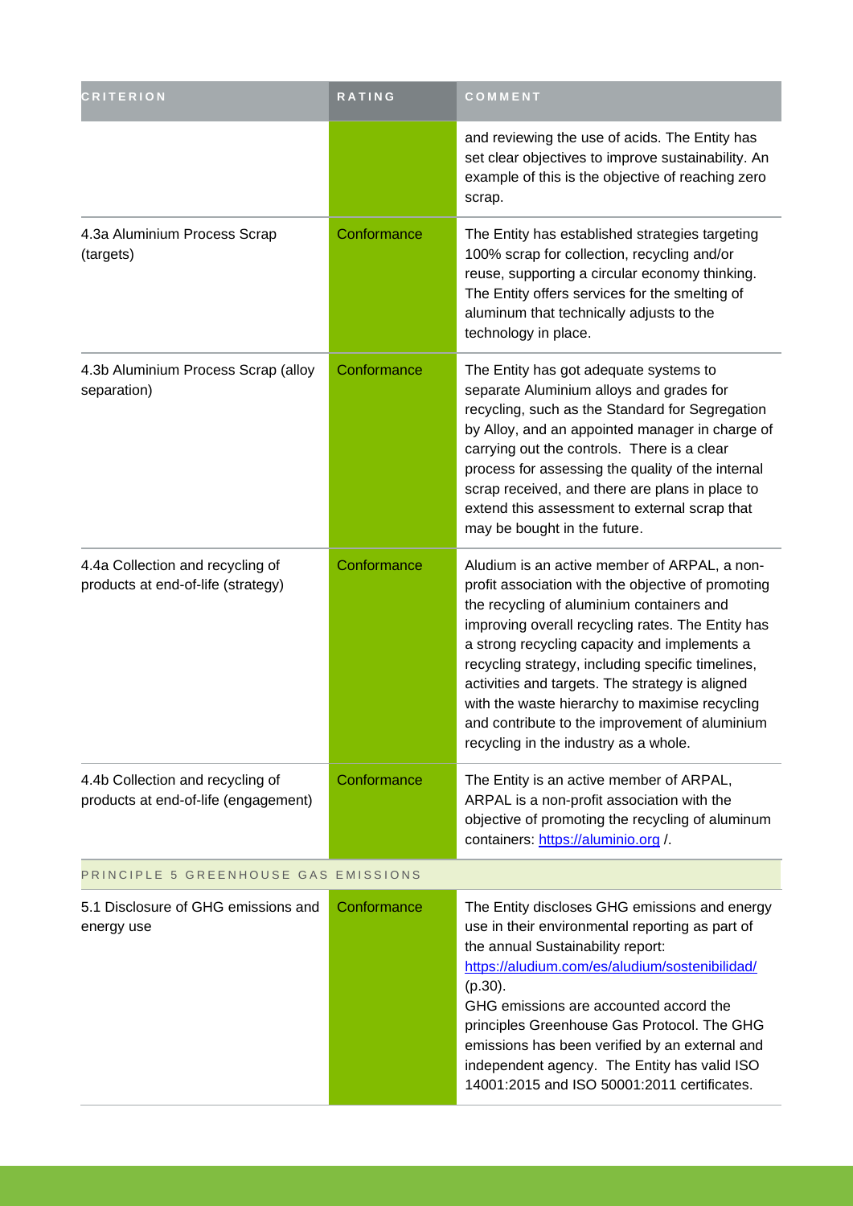| <b>CRITERION</b>                                                         | RATING      | COMMENT                                                                                                                                                                                                                                                                                                                                                                                                                                                                                                   |  |
|--------------------------------------------------------------------------|-------------|-----------------------------------------------------------------------------------------------------------------------------------------------------------------------------------------------------------------------------------------------------------------------------------------------------------------------------------------------------------------------------------------------------------------------------------------------------------------------------------------------------------|--|
|                                                                          |             | and reviewing the use of acids. The Entity has<br>set clear objectives to improve sustainability. An<br>example of this is the objective of reaching zero<br>scrap.                                                                                                                                                                                                                                                                                                                                       |  |
| 4.3a Aluminium Process Scrap<br>(targets)                                | Conformance | The Entity has established strategies targeting<br>100% scrap for collection, recycling and/or<br>reuse, supporting a circular economy thinking.<br>The Entity offers services for the smelting of<br>aluminum that technically adjusts to the<br>technology in place.                                                                                                                                                                                                                                    |  |
| 4.3b Aluminium Process Scrap (alloy<br>separation)                       | Conformance | The Entity has got adequate systems to<br>separate Aluminium alloys and grades for<br>recycling, such as the Standard for Segregation<br>by Alloy, and an appointed manager in charge of<br>carrying out the controls. There is a clear<br>process for assessing the quality of the internal<br>scrap received, and there are plans in place to<br>extend this assessment to external scrap that<br>may be bought in the future.                                                                          |  |
| 4.4a Collection and recycling of<br>products at end-of-life (strategy)   | Conformance | Aludium is an active member of ARPAL, a non-<br>profit association with the objective of promoting<br>the recycling of aluminium containers and<br>improving overall recycling rates. The Entity has<br>a strong recycling capacity and implements a<br>recycling strategy, including specific timelines,<br>activities and targets. The strategy is aligned<br>with the waste hierarchy to maximise recycling<br>and contribute to the improvement of aluminium<br>recycling in the industry as a whole. |  |
| 4.4b Collection and recycling of<br>products at end-of-life (engagement) | Conformance | The Entity is an active member of ARPAL,<br>ARPAL is a non-profit association with the<br>objective of promoting the recycling of aluminum<br>containers: https://aluminio.org /                                                                                                                                                                                                                                                                                                                          |  |
| PRINCIPLE 5 GREENHOUSE GAS EMISSIONS                                     |             |                                                                                                                                                                                                                                                                                                                                                                                                                                                                                                           |  |
| 5.1 Disclosure of GHG emissions and<br>energy use                        | Conformance | The Entity discloses GHG emissions and energy<br>use in their environmental reporting as part of<br>the annual Sustainability report:<br>https://aludium.com/es/aludium/sostenibilidad/<br>$(p.30)$ .<br>GHG emissions are accounted accord the<br>principles Greenhouse Gas Protocol. The GHG<br>emissions has been verified by an external and<br>independent agency. The Entity has valid ISO<br>14001:2015 and ISO 50001:2011 certificates.                                                           |  |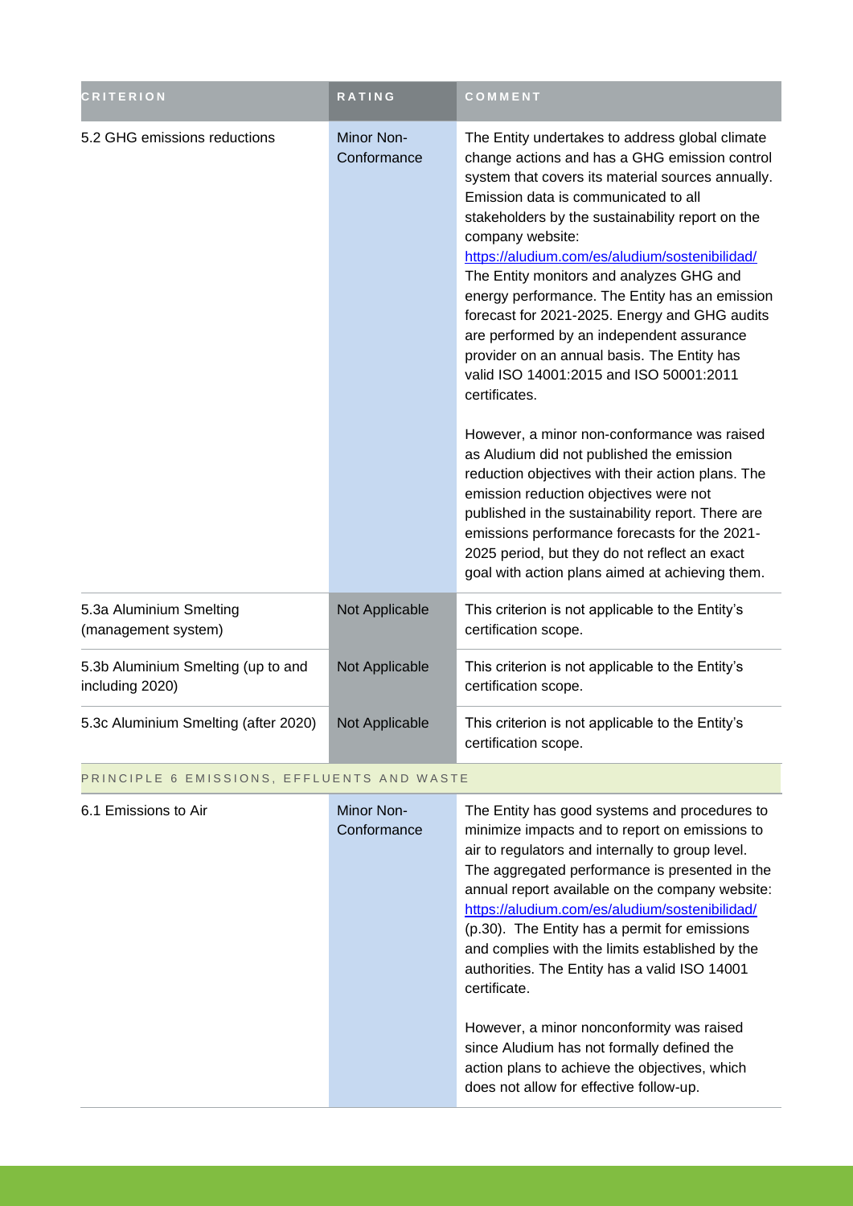| CRITERION                                             | <b>RATING</b>             | COMMENT                                                                                                                                                                                                                                                                                                                                                                                                                                                                                                                                                                                                                                                                                                                                                                                                                                                                                                                                                                                                                             |  |
|-------------------------------------------------------|---------------------------|-------------------------------------------------------------------------------------------------------------------------------------------------------------------------------------------------------------------------------------------------------------------------------------------------------------------------------------------------------------------------------------------------------------------------------------------------------------------------------------------------------------------------------------------------------------------------------------------------------------------------------------------------------------------------------------------------------------------------------------------------------------------------------------------------------------------------------------------------------------------------------------------------------------------------------------------------------------------------------------------------------------------------------------|--|
| 5.2 GHG emissions reductions                          | Minor Non-<br>Conformance | The Entity undertakes to address global climate<br>change actions and has a GHG emission control<br>system that covers its material sources annually.<br>Emission data is communicated to all<br>stakeholders by the sustainability report on the<br>company website:<br>https://aludium.com/es/aludium/sostenibilidad/<br>The Entity monitors and analyzes GHG and<br>energy performance. The Entity has an emission<br>forecast for 2021-2025. Energy and GHG audits<br>are performed by an independent assurance<br>provider on an annual basis. The Entity has<br>valid ISO 14001:2015 and ISO 50001:2011<br>certificates.<br>However, a minor non-conformance was raised<br>as Aludium did not published the emission<br>reduction objectives with their action plans. The<br>emission reduction objectives were not<br>published in the sustainability report. There are<br>emissions performance forecasts for the 2021-<br>2025 period, but they do not reflect an exact<br>goal with action plans aimed at achieving them. |  |
| 5.3a Aluminium Smelting<br>(management system)        | Not Applicable            | This criterion is not applicable to the Entity's<br>certification scope.                                                                                                                                                                                                                                                                                                                                                                                                                                                                                                                                                                                                                                                                                                                                                                                                                                                                                                                                                            |  |
| 5.3b Aluminium Smelting (up to and<br>including 2020) | Not Applicable            | This criterion is not applicable to the Entity's<br>certification scope.                                                                                                                                                                                                                                                                                                                                                                                                                                                                                                                                                                                                                                                                                                                                                                                                                                                                                                                                                            |  |
| 5.3c Aluminium Smelting (after 2020)                  | Not Applicable            | This criterion is not applicable to the Entity's<br>certification scope.                                                                                                                                                                                                                                                                                                                                                                                                                                                                                                                                                                                                                                                                                                                                                                                                                                                                                                                                                            |  |
| PRINCIPLE 6 EMISSIONS, EFFLUENTS AND WASTE            |                           |                                                                                                                                                                                                                                                                                                                                                                                                                                                                                                                                                                                                                                                                                                                                                                                                                                                                                                                                                                                                                                     |  |

| 6.1 Emissions to Air | Minor Non-<br>Conformance | The Entity has good systems and procedures to<br>minimize impacts and to report on emissions to<br>air to regulators and internally to group level.<br>The aggregated performance is presented in the<br>annual report available on the company website:<br>https://aludium.com/es/aludium/sostenibilidad/<br>(p.30). The Entity has a permit for emissions<br>and complies with the limits established by the<br>authorities. The Entity has a valid ISO 14001<br>certificate. |
|----------------------|---------------------------|---------------------------------------------------------------------------------------------------------------------------------------------------------------------------------------------------------------------------------------------------------------------------------------------------------------------------------------------------------------------------------------------------------------------------------------------------------------------------------|
|                      |                           | However, a minor nonconformity was raised<br>since Aludium has not formally defined the<br>action plans to achieve the objectives, which<br>does not allow for effective follow-up.                                                                                                                                                                                                                                                                                             |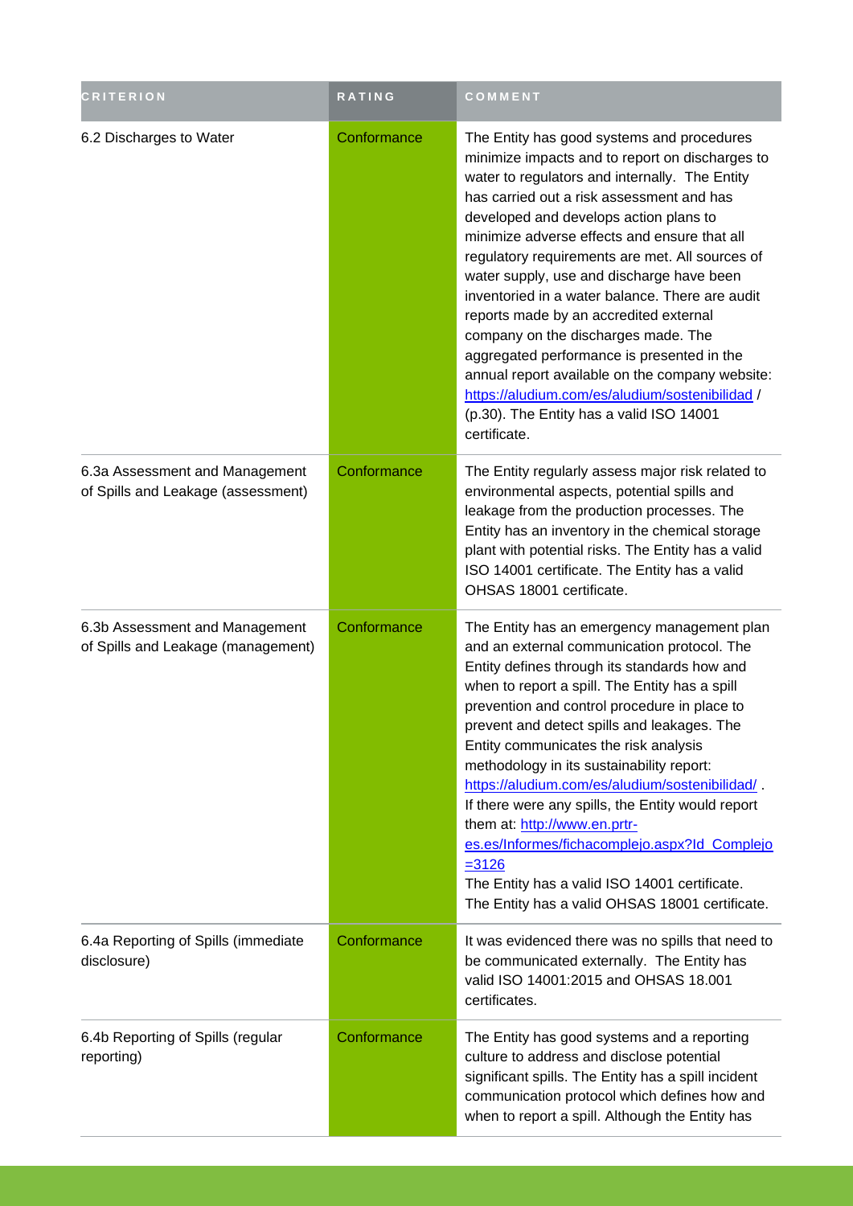| <b>CRITERION</b>                                                     | <b>RATING</b> | COMMENT                                                                                                                                                                                                                                                                                                                                                                                                                                                                                                                                                                                                                                                                                                                                    |
|----------------------------------------------------------------------|---------------|--------------------------------------------------------------------------------------------------------------------------------------------------------------------------------------------------------------------------------------------------------------------------------------------------------------------------------------------------------------------------------------------------------------------------------------------------------------------------------------------------------------------------------------------------------------------------------------------------------------------------------------------------------------------------------------------------------------------------------------------|
| 6.2 Discharges to Water                                              | Conformance   | The Entity has good systems and procedures<br>minimize impacts and to report on discharges to<br>water to regulators and internally. The Entity<br>has carried out a risk assessment and has<br>developed and develops action plans to<br>minimize adverse effects and ensure that all<br>regulatory requirements are met. All sources of<br>water supply, use and discharge have been<br>inventoried in a water balance. There are audit<br>reports made by an accredited external<br>company on the discharges made. The<br>aggregated performance is presented in the<br>annual report available on the company website:<br>https://aludium.com/es/aludium/sostenibilidad /<br>(p.30). The Entity has a valid ISO 14001<br>certificate. |
| 6.3a Assessment and Management<br>of Spills and Leakage (assessment) | Conformance   | The Entity regularly assess major risk related to<br>environmental aspects, potential spills and<br>leakage from the production processes. The<br>Entity has an inventory in the chemical storage<br>plant with potential risks. The Entity has a valid<br>ISO 14001 certificate. The Entity has a valid<br>OHSAS 18001 certificate.                                                                                                                                                                                                                                                                                                                                                                                                       |
| 6.3b Assessment and Management<br>of Spills and Leakage (management) | Conformance   | The Entity has an emergency management plan<br>and an external communication protocol. The<br>Entity defines through its standards how and<br>when to report a spill. The Entity has a spill<br>prevention and control procedure in place to<br>prevent and detect spills and leakages. The<br>Entity communicates the risk analysis<br>methodology in its sustainability report:<br>https://aludium.com/es/aludium/sostenibilidad/<br>If there were any spills, the Entity would report<br>them at: http://www.en.prtr-<br>es.es/Informes/fichacomplejo.aspx?Id_Complejo<br>$= 3126$<br>The Entity has a valid ISO 14001 certificate.<br>The Entity has a valid OHSAS 18001 certificate.                                                  |
| 6.4a Reporting of Spills (immediate<br>disclosure)                   | Conformance   | It was evidenced there was no spills that need to<br>be communicated externally. The Entity has<br>valid ISO 14001:2015 and OHSAS 18.001<br>certificates.                                                                                                                                                                                                                                                                                                                                                                                                                                                                                                                                                                                  |
| 6.4b Reporting of Spills (regular<br>reporting)                      | Conformance   | The Entity has good systems and a reporting<br>culture to address and disclose potential<br>significant spills. The Entity has a spill incident<br>communication protocol which defines how and<br>when to report a spill. Although the Entity has                                                                                                                                                                                                                                                                                                                                                                                                                                                                                         |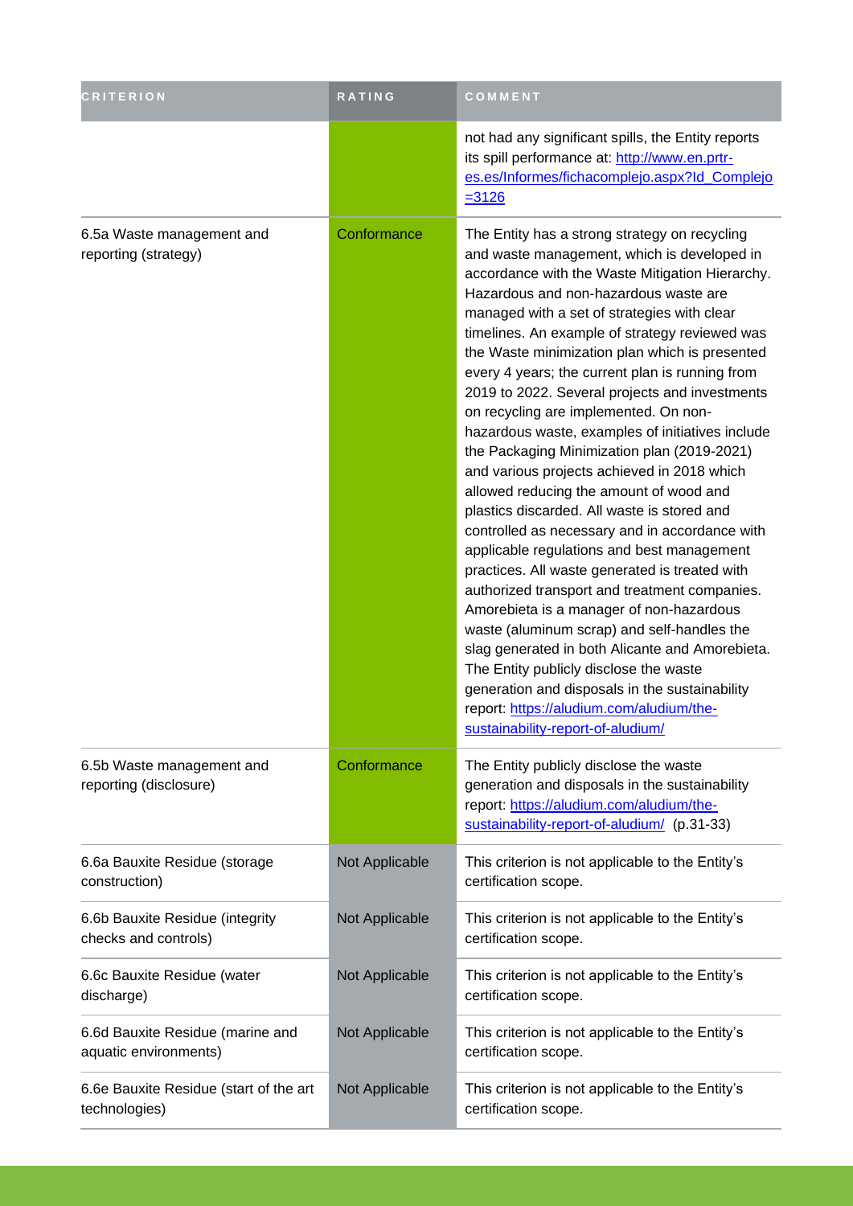| <b>CRITERION</b>                                          | RATING         | COMMENT                                                                                                                                                                                                                                                                                                                                                                                                                                                                                                                                                                                                                                                                                                                                                                                                                                                                                                                                                                                                                                                                                                                                                                                                                                                             |
|-----------------------------------------------------------|----------------|---------------------------------------------------------------------------------------------------------------------------------------------------------------------------------------------------------------------------------------------------------------------------------------------------------------------------------------------------------------------------------------------------------------------------------------------------------------------------------------------------------------------------------------------------------------------------------------------------------------------------------------------------------------------------------------------------------------------------------------------------------------------------------------------------------------------------------------------------------------------------------------------------------------------------------------------------------------------------------------------------------------------------------------------------------------------------------------------------------------------------------------------------------------------------------------------------------------------------------------------------------------------|
|                                                           |                | not had any significant spills, the Entity reports<br>its spill performance at: http://www.en.prtr-<br>es.es/Informes/fichacomplejo.aspx?Id_Complejo<br>$= 3126$                                                                                                                                                                                                                                                                                                                                                                                                                                                                                                                                                                                                                                                                                                                                                                                                                                                                                                                                                                                                                                                                                                    |
| 6.5a Waste management and<br>reporting (strategy)         | Conformance    | The Entity has a strong strategy on recycling<br>and waste management, which is developed in<br>accordance with the Waste Mitigation Hierarchy.<br>Hazardous and non-hazardous waste are<br>managed with a set of strategies with clear<br>timelines. An example of strategy reviewed was<br>the Waste minimization plan which is presented<br>every 4 years; the current plan is running from<br>2019 to 2022. Several projects and investments<br>on recycling are implemented. On non-<br>hazardous waste, examples of initiatives include<br>the Packaging Minimization plan (2019-2021)<br>and various projects achieved in 2018 which<br>allowed reducing the amount of wood and<br>plastics discarded. All waste is stored and<br>controlled as necessary and in accordance with<br>applicable regulations and best management<br>practices. All waste generated is treated with<br>authorized transport and treatment companies.<br>Amorebieta is a manager of non-hazardous<br>waste (aluminum scrap) and self-handles the<br>slag generated in both Alicante and Amorebieta.<br>The Entity publicly disclose the waste<br>generation and disposals in the sustainability<br>report: https://aludium.com/aludium/the-<br>sustainability-report-of-aludium/ |
| 6.5b Waste management and<br>reporting (disclosure)       | Conformance    | The Entity publicly disclose the waste<br>generation and disposals in the sustainability<br>report: https://aludium.com/aludium/the-<br>sustainability-report-of-aludium/ (p.31-33)                                                                                                                                                                                                                                                                                                                                                                                                                                                                                                                                                                                                                                                                                                                                                                                                                                                                                                                                                                                                                                                                                 |
| 6.6a Bauxite Residue (storage<br>construction)            | Not Applicable | This criterion is not applicable to the Entity's<br>certification scope.                                                                                                                                                                                                                                                                                                                                                                                                                                                                                                                                                                                                                                                                                                                                                                                                                                                                                                                                                                                                                                                                                                                                                                                            |
| 6.6b Bauxite Residue (integrity<br>checks and controls)   | Not Applicable | This criterion is not applicable to the Entity's<br>certification scope.                                                                                                                                                                                                                                                                                                                                                                                                                                                                                                                                                                                                                                                                                                                                                                                                                                                                                                                                                                                                                                                                                                                                                                                            |
| 6.6c Bauxite Residue (water<br>discharge)                 | Not Applicable | This criterion is not applicable to the Entity's<br>certification scope.                                                                                                                                                                                                                                                                                                                                                                                                                                                                                                                                                                                                                                                                                                                                                                                                                                                                                                                                                                                                                                                                                                                                                                                            |
| 6.6d Bauxite Residue (marine and<br>aquatic environments) | Not Applicable | This criterion is not applicable to the Entity's<br>certification scope.                                                                                                                                                                                                                                                                                                                                                                                                                                                                                                                                                                                                                                                                                                                                                                                                                                                                                                                                                                                                                                                                                                                                                                                            |
| 6.6e Bauxite Residue (start of the art<br>technologies)   | Not Applicable | This criterion is not applicable to the Entity's<br>certification scope.                                                                                                                                                                                                                                                                                                                                                                                                                                                                                                                                                                                                                                                                                                                                                                                                                                                                                                                                                                                                                                                                                                                                                                                            |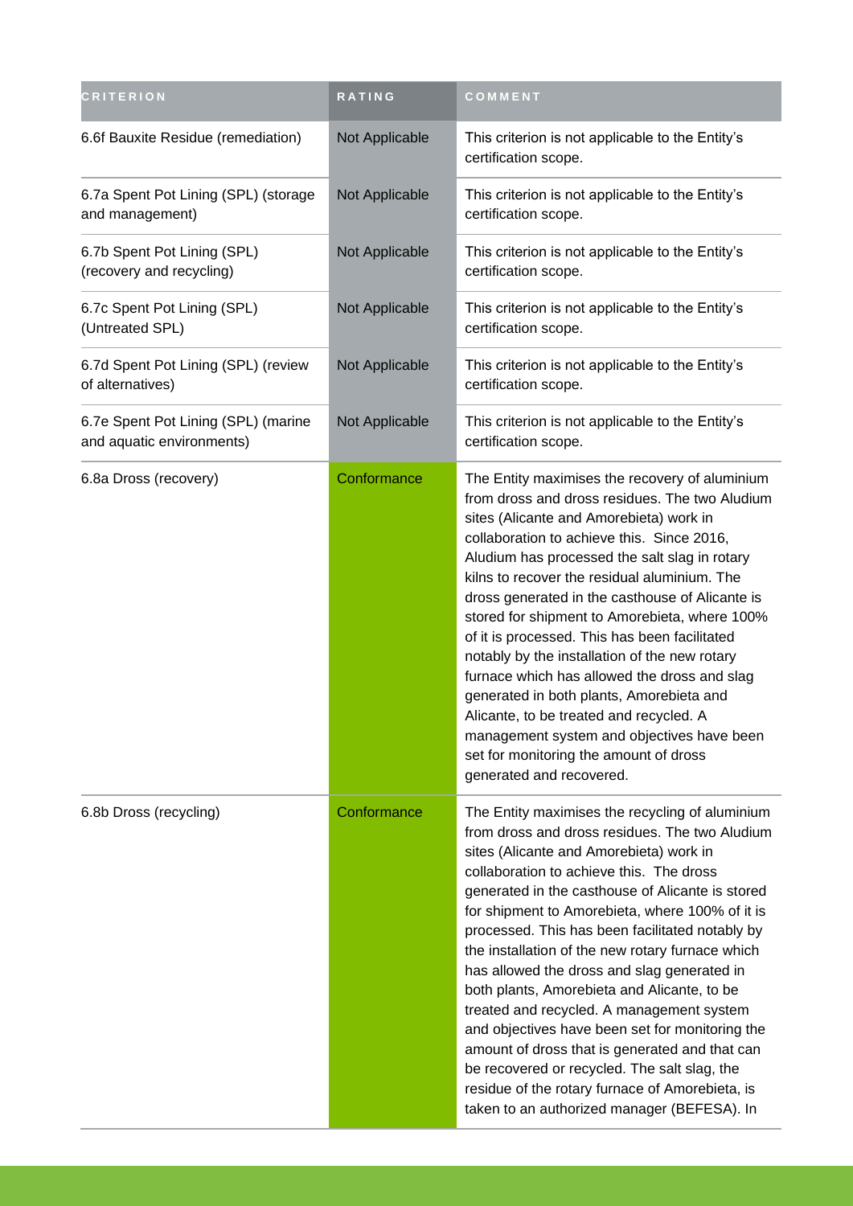| <b>CRITERION</b>                                                 | RATING         | COMMENT                                                                                                                                                                                                                                                                                                                                                                                                                                                                                                                                                                                                                                                                                                                                                                                                  |
|------------------------------------------------------------------|----------------|----------------------------------------------------------------------------------------------------------------------------------------------------------------------------------------------------------------------------------------------------------------------------------------------------------------------------------------------------------------------------------------------------------------------------------------------------------------------------------------------------------------------------------------------------------------------------------------------------------------------------------------------------------------------------------------------------------------------------------------------------------------------------------------------------------|
| 6.6f Bauxite Residue (remediation)                               | Not Applicable | This criterion is not applicable to the Entity's<br>certification scope.                                                                                                                                                                                                                                                                                                                                                                                                                                                                                                                                                                                                                                                                                                                                 |
| 6.7a Spent Pot Lining (SPL) (storage<br>and management)          | Not Applicable | This criterion is not applicable to the Entity's<br>certification scope.                                                                                                                                                                                                                                                                                                                                                                                                                                                                                                                                                                                                                                                                                                                                 |
| 6.7b Spent Pot Lining (SPL)<br>(recovery and recycling)          | Not Applicable | This criterion is not applicable to the Entity's<br>certification scope.                                                                                                                                                                                                                                                                                                                                                                                                                                                                                                                                                                                                                                                                                                                                 |
| 6.7c Spent Pot Lining (SPL)<br>(Untreated SPL)                   | Not Applicable | This criterion is not applicable to the Entity's<br>certification scope.                                                                                                                                                                                                                                                                                                                                                                                                                                                                                                                                                                                                                                                                                                                                 |
| 6.7d Spent Pot Lining (SPL) (review<br>of alternatives)          | Not Applicable | This criterion is not applicable to the Entity's<br>certification scope.                                                                                                                                                                                                                                                                                                                                                                                                                                                                                                                                                                                                                                                                                                                                 |
| 6.7e Spent Pot Lining (SPL) (marine<br>and aquatic environments) | Not Applicable | This criterion is not applicable to the Entity's<br>certification scope.                                                                                                                                                                                                                                                                                                                                                                                                                                                                                                                                                                                                                                                                                                                                 |
| 6.8a Dross (recovery)                                            | Conformance    | The Entity maximises the recovery of aluminium<br>from dross and dross residues. The two Aludium<br>sites (Alicante and Amorebieta) work in<br>collaboration to achieve this. Since 2016,<br>Aludium has processed the salt slag in rotary<br>kilns to recover the residual aluminium. The<br>dross generated in the casthouse of Alicante is<br>stored for shipment to Amorebieta, where 100%<br>of it is processed. This has been facilitated<br>notably by the installation of the new rotary<br>furnace which has allowed the dross and slag<br>generated in both plants, Amorebieta and<br>Alicante, to be treated and recycled. A<br>management system and objectives have been<br>set for monitoring the amount of dross<br>generated and recovered.                                              |
| 6.8b Dross (recycling)                                           | Conformance    | The Entity maximises the recycling of aluminium<br>from dross and dross residues. The two Aludium<br>sites (Alicante and Amorebieta) work in<br>collaboration to achieve this. The dross<br>generated in the casthouse of Alicante is stored<br>for shipment to Amorebieta, where 100% of it is<br>processed. This has been facilitated notably by<br>the installation of the new rotary furnace which<br>has allowed the dross and slag generated in<br>both plants, Amorebieta and Alicante, to be<br>treated and recycled. A management system<br>and objectives have been set for monitoring the<br>amount of dross that is generated and that can<br>be recovered or recycled. The salt slag, the<br>residue of the rotary furnace of Amorebieta, is<br>taken to an authorized manager (BEFESA). In |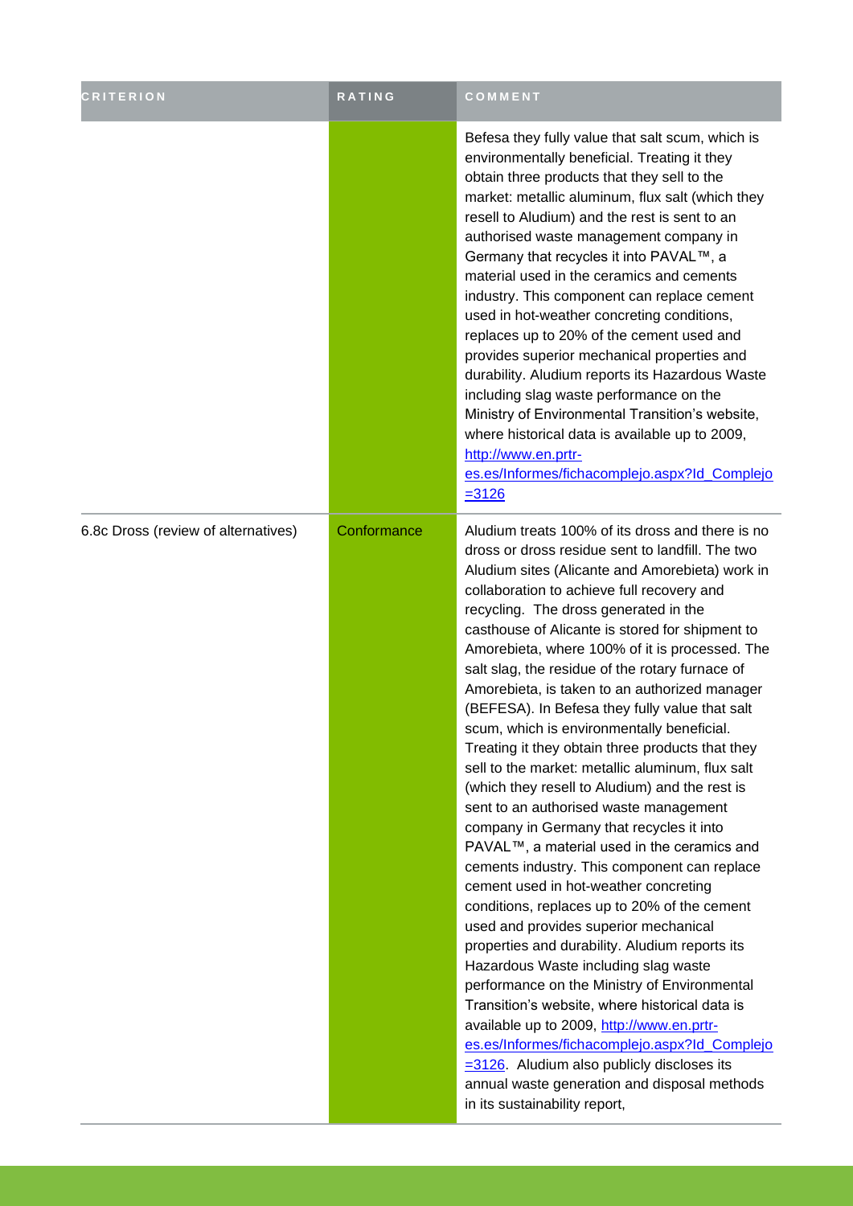| <b>CRITERION</b>                    | RATING      | COMMENT                                                                                                                                                                                                                                                                                                                                                                                                                                                                                                                                                                                                                                                                                                                                                                                                                                                                                                                                                                                                                                                                                                                                                                                                                                                                                                                                                                                                                                                              |
|-------------------------------------|-------------|----------------------------------------------------------------------------------------------------------------------------------------------------------------------------------------------------------------------------------------------------------------------------------------------------------------------------------------------------------------------------------------------------------------------------------------------------------------------------------------------------------------------------------------------------------------------------------------------------------------------------------------------------------------------------------------------------------------------------------------------------------------------------------------------------------------------------------------------------------------------------------------------------------------------------------------------------------------------------------------------------------------------------------------------------------------------------------------------------------------------------------------------------------------------------------------------------------------------------------------------------------------------------------------------------------------------------------------------------------------------------------------------------------------------------------------------------------------------|
|                                     |             | Befesa they fully value that salt scum, which is<br>environmentally beneficial. Treating it they<br>obtain three products that they sell to the<br>market: metallic aluminum, flux salt (which they<br>resell to Aludium) and the rest is sent to an<br>authorised waste management company in<br>Germany that recycles it into PAVAL™, a<br>material used in the ceramics and cements<br>industry. This component can replace cement<br>used in hot-weather concreting conditions,<br>replaces up to 20% of the cement used and<br>provides superior mechanical properties and<br>durability. Aludium reports its Hazardous Waste<br>including slag waste performance on the<br>Ministry of Environmental Transition's website,<br>where historical data is available up to 2009,<br>http://www.en.prtr-<br>es.es/Informes/fichacomplejo.aspx?Id_Complejo<br>$= 3126$                                                                                                                                                                                                                                                                                                                                                                                                                                                                                                                                                                                               |
| 6.8c Dross (review of alternatives) | Conformance | Aludium treats 100% of its dross and there is no<br>dross or dross residue sent to landfill. The two<br>Aludium sites (Alicante and Amorebieta) work in<br>collaboration to achieve full recovery and<br>recycling. The dross generated in the<br>casthouse of Alicante is stored for shipment to<br>Amorebieta, where 100% of it is processed. The<br>salt slag, the residue of the rotary furnace of<br>Amorebieta, is taken to an authorized manager<br>(BEFESA). In Befesa they fully value that salt<br>scum, which is environmentally beneficial.<br>Treating it they obtain three products that they<br>sell to the market: metallic aluminum, flux salt<br>(which they resell to Aludium) and the rest is<br>sent to an authorised waste management<br>company in Germany that recycles it into<br>PAVAL™, a material used in the ceramics and<br>cements industry. This component can replace<br>cement used in hot-weather concreting<br>conditions, replaces up to 20% of the cement<br>used and provides superior mechanical<br>properties and durability. Aludium reports its<br>Hazardous Waste including slag waste<br>performance on the Ministry of Environmental<br>Transition's website, where historical data is<br>available up to 2009, http://www.en.prtr-<br>es.es/Informes/fichacomplejo.aspx?Id_Complejo<br>$=$ 3126. Aludium also publicly discloses its<br>annual waste generation and disposal methods<br>in its sustainability report, |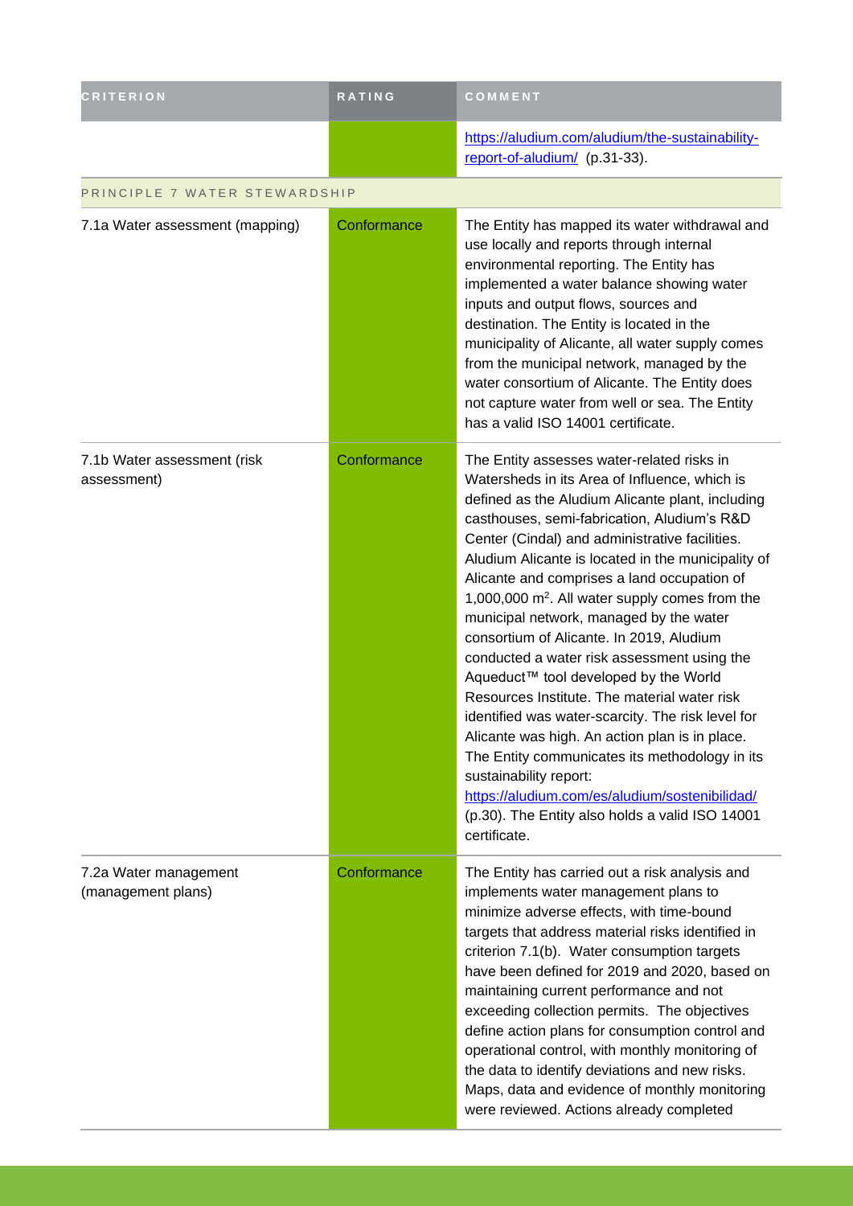| <b>CRITERION</b>                            | <b>RATING</b> | COMMENT                                                                                                                                                                                                                                                                                                                                                                                                                                                                                                                                                                                                                                                                                                                                                                                                                                                                                                                                                    |
|---------------------------------------------|---------------|------------------------------------------------------------------------------------------------------------------------------------------------------------------------------------------------------------------------------------------------------------------------------------------------------------------------------------------------------------------------------------------------------------------------------------------------------------------------------------------------------------------------------------------------------------------------------------------------------------------------------------------------------------------------------------------------------------------------------------------------------------------------------------------------------------------------------------------------------------------------------------------------------------------------------------------------------------|
|                                             |               | https://aludium.com/aludium/the-sustainability-<br>report-of-aludium/ (p.31-33).                                                                                                                                                                                                                                                                                                                                                                                                                                                                                                                                                                                                                                                                                                                                                                                                                                                                           |
| PRINCIPLE 7 WATER STEWARDSHIP               |               |                                                                                                                                                                                                                                                                                                                                                                                                                                                                                                                                                                                                                                                                                                                                                                                                                                                                                                                                                            |
| 7.1a Water assessment (mapping)             | Conformance   | The Entity has mapped its water withdrawal and<br>use locally and reports through internal<br>environmental reporting. The Entity has<br>implemented a water balance showing water<br>inputs and output flows, sources and<br>destination. The Entity is located in the<br>municipality of Alicante, all water supply comes<br>from the municipal network, managed by the<br>water consortium of Alicante. The Entity does<br>not capture water from well or sea. The Entity<br>has a valid ISO 14001 certificate.                                                                                                                                                                                                                                                                                                                                                                                                                                         |
| 7.1b Water assessment (risk<br>assessment)  | Conformance   | The Entity assesses water-related risks in<br>Watersheds in its Area of Influence, which is<br>defined as the Aludium Alicante plant, including<br>casthouses, semi-fabrication, Aludium's R&D<br>Center (Cindal) and administrative facilities.<br>Aludium Alicante is located in the municipality of<br>Alicante and comprises a land occupation of<br>1,000,000 m <sup>2</sup> . All water supply comes from the<br>municipal network, managed by the water<br>consortium of Alicante. In 2019, Aludium<br>conducted a water risk assessment using the<br>Aqueduct™ tool developed by the World<br>Resources Institute. The material water risk<br>identified was water-scarcity. The risk level for<br>Alicante was high. An action plan is in place.<br>The Entity communicates its methodology in its<br>sustainability report:<br>https://aludium.com/es/aludium/sostenibilidad/<br>(p.30). The Entity also holds a valid ISO 14001<br>certificate. |
| 7.2a Water management<br>(management plans) | Conformance   | The Entity has carried out a risk analysis and<br>implements water management plans to<br>minimize adverse effects, with time-bound<br>targets that address material risks identified in<br>criterion 7.1(b). Water consumption targets<br>have been defined for 2019 and 2020, based on<br>maintaining current performance and not<br>exceeding collection permits. The objectives<br>define action plans for consumption control and<br>operational control, with monthly monitoring of<br>the data to identify deviations and new risks.<br>Maps, data and evidence of monthly monitoring<br>were reviewed. Actions already completed                                                                                                                                                                                                                                                                                                                   |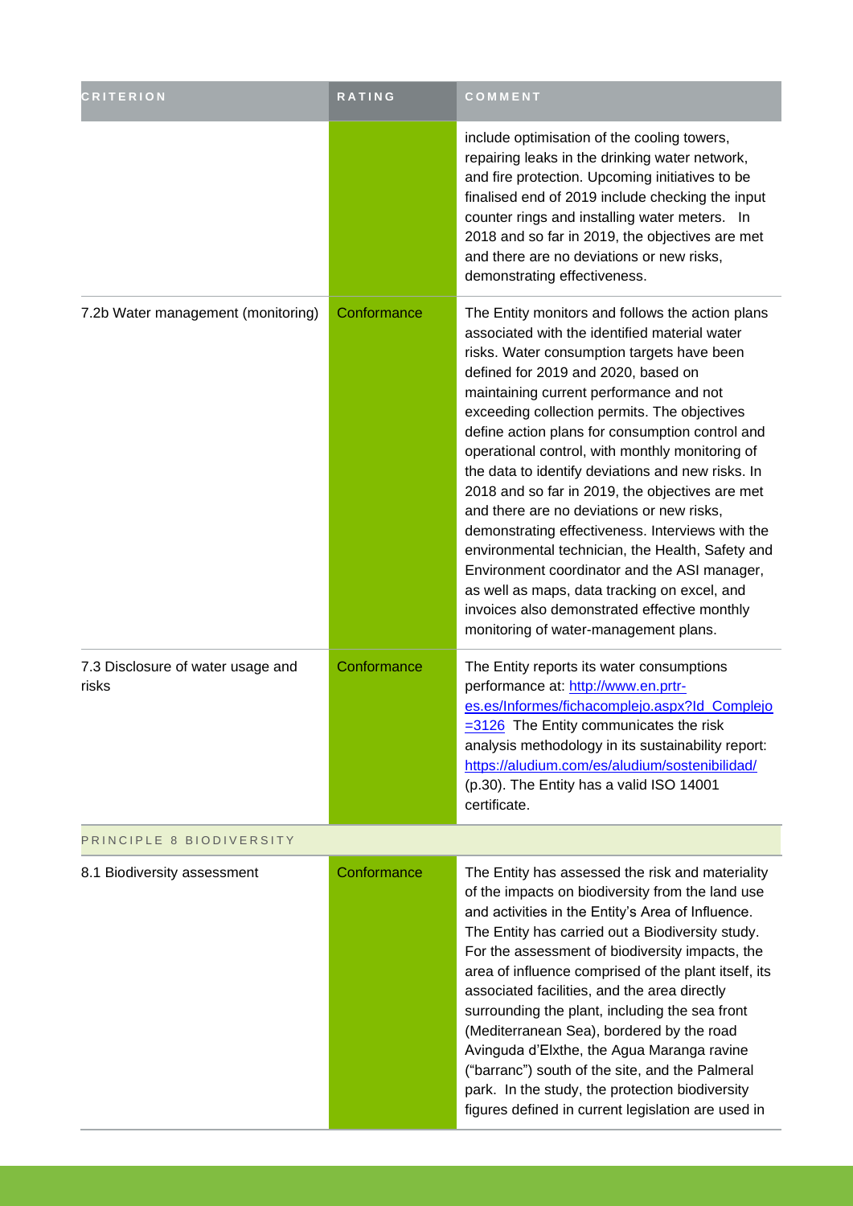| <b>CRITERION</b>                           | RATING      | COMMENT                                                                                                                                                                                                                                                                                                                                                                                                                                                                                                                                                                                                                                                                                                                                                                                                                                       |
|--------------------------------------------|-------------|-----------------------------------------------------------------------------------------------------------------------------------------------------------------------------------------------------------------------------------------------------------------------------------------------------------------------------------------------------------------------------------------------------------------------------------------------------------------------------------------------------------------------------------------------------------------------------------------------------------------------------------------------------------------------------------------------------------------------------------------------------------------------------------------------------------------------------------------------|
|                                            |             | include optimisation of the cooling towers,<br>repairing leaks in the drinking water network,<br>and fire protection. Upcoming initiatives to be<br>finalised end of 2019 include checking the input<br>counter rings and installing water meters. In<br>2018 and so far in 2019, the objectives are met<br>and there are no deviations or new risks,<br>demonstrating effectiveness.                                                                                                                                                                                                                                                                                                                                                                                                                                                         |
| 7.2b Water management (monitoring)         | Conformance | The Entity monitors and follows the action plans<br>associated with the identified material water<br>risks. Water consumption targets have been<br>defined for 2019 and 2020, based on<br>maintaining current performance and not<br>exceeding collection permits. The objectives<br>define action plans for consumption control and<br>operational control, with monthly monitoring of<br>the data to identify deviations and new risks. In<br>2018 and so far in 2019, the objectives are met<br>and there are no deviations or new risks,<br>demonstrating effectiveness. Interviews with the<br>environmental technician, the Health, Safety and<br>Environment coordinator and the ASI manager,<br>as well as maps, data tracking on excel, and<br>invoices also demonstrated effective monthly<br>monitoring of water-management plans. |
| 7.3 Disclosure of water usage and<br>risks | Conformance | The Entity reports its water consumptions<br>performance at: http://www.en.prtr-<br>es.es/Informes/fichacomplejo.aspx?Id_Complejo<br>$= 3126$ The Entity communicates the risk<br>analysis methodology in its sustainability report:<br>https://aludium.com/es/aludium/sostenibilidad/<br>(p.30). The Entity has a valid ISO 14001<br>certificate.                                                                                                                                                                                                                                                                                                                                                                                                                                                                                            |
| PRINCIPLE 8 BIODIVERSITY                   |             |                                                                                                                                                                                                                                                                                                                                                                                                                                                                                                                                                                                                                                                                                                                                                                                                                                               |
| 8.1 Biodiversity assessment                | Conformance | The Entity has assessed the risk and materiality<br>of the impacts on biodiversity from the land use<br>and activities in the Entity's Area of Influence.<br>The Entity has carried out a Biodiversity study.<br>For the assessment of biodiversity impacts, the<br>area of influence comprised of the plant itself, its<br>associated facilities, and the area directly<br>surrounding the plant, including the sea front<br>(Mediterranean Sea), bordered by the road<br>Avinguda d'Elxthe, the Agua Maranga ravine<br>("barranc") south of the site, and the Palmeral<br>park. In the study, the protection biodiversity<br>figures defined in current legislation are used in                                                                                                                                                             |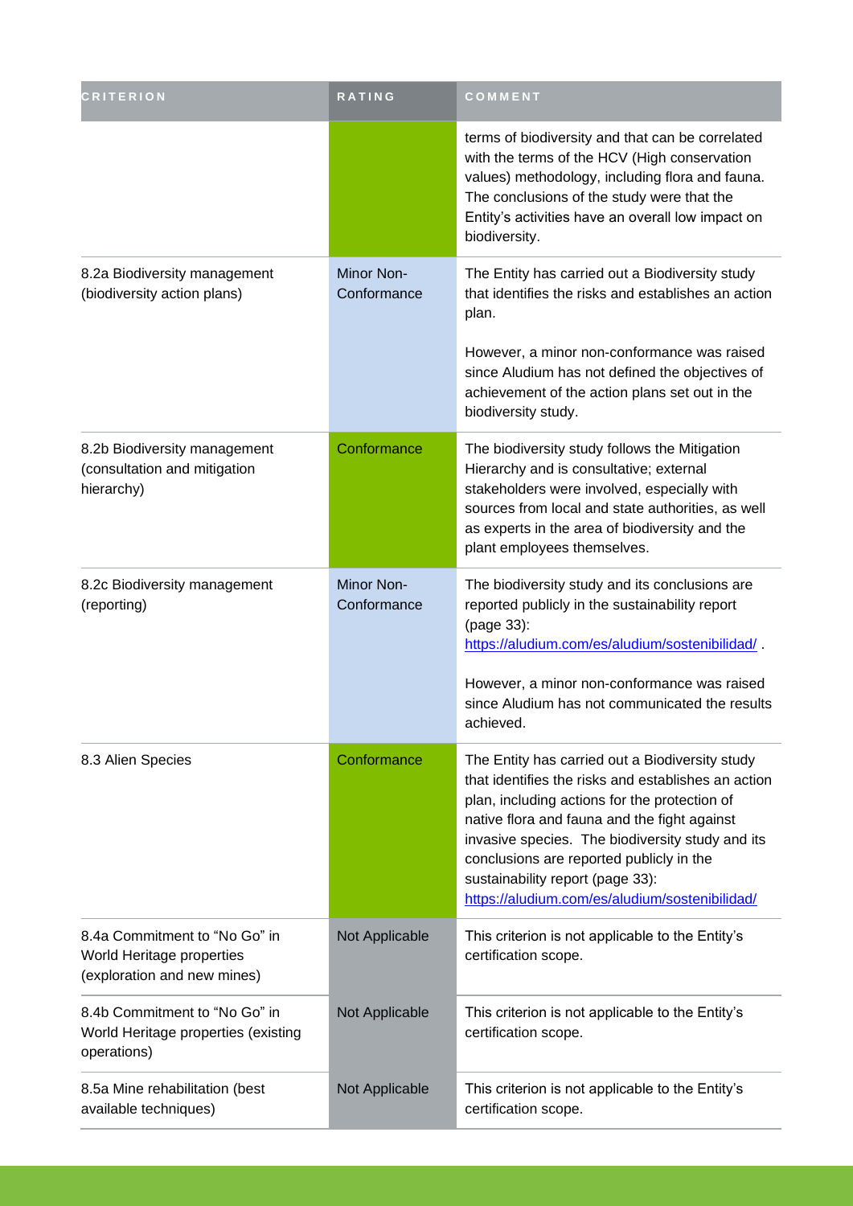| <b>CRITERION</b>                                                                          | <b>RATING</b>             | COMMENT                                                                                                                                                                                                                                                                                                                                                                                       |
|-------------------------------------------------------------------------------------------|---------------------------|-----------------------------------------------------------------------------------------------------------------------------------------------------------------------------------------------------------------------------------------------------------------------------------------------------------------------------------------------------------------------------------------------|
|                                                                                           |                           | terms of biodiversity and that can be correlated<br>with the terms of the HCV (High conservation<br>values) methodology, including flora and fauna.<br>The conclusions of the study were that the<br>Entity's activities have an overall low impact on<br>biodiversity.                                                                                                                       |
| 8.2a Biodiversity management<br>(biodiversity action plans)                               | Minor Non-<br>Conformance | The Entity has carried out a Biodiversity study<br>that identifies the risks and establishes an action<br>plan.                                                                                                                                                                                                                                                                               |
|                                                                                           |                           | However, a minor non-conformance was raised<br>since Aludium has not defined the objectives of<br>achievement of the action plans set out in the<br>biodiversity study.                                                                                                                                                                                                                       |
| 8.2b Biodiversity management<br>(consultation and mitigation<br>hierarchy)                | Conformance               | The biodiversity study follows the Mitigation<br>Hierarchy and is consultative; external<br>stakeholders were involved, especially with<br>sources from local and state authorities, as well<br>as experts in the area of biodiversity and the<br>plant employees themselves.                                                                                                                 |
| 8.2c Biodiversity management<br>(reporting)                                               | Minor Non-<br>Conformance | The biodiversity study and its conclusions are<br>reported publicly in the sustainability report<br>(page 33):<br>https://aludium.com/es/aludium/sostenibilidad/                                                                                                                                                                                                                              |
|                                                                                           |                           | However, a minor non-conformance was raised<br>since Aludium has not communicated the results<br>achieved.                                                                                                                                                                                                                                                                                    |
| 8.3 Alien Species                                                                         | Conformance               | The Entity has carried out a Biodiversity study<br>that identifies the risks and establishes an action<br>plan, including actions for the protection of<br>native flora and fauna and the fight against<br>invasive species. The biodiversity study and its<br>conclusions are reported publicly in the<br>sustainability report (page 33):<br>https://aludium.com/es/aludium/sostenibilidad/ |
| 8.4a Commitment to "No Go" in<br>World Heritage properties<br>(exploration and new mines) | Not Applicable            | This criterion is not applicable to the Entity's<br>certification scope.                                                                                                                                                                                                                                                                                                                      |
| 8.4b Commitment to "No Go" in<br>World Heritage properties (existing<br>operations)       | Not Applicable            | This criterion is not applicable to the Entity's<br>certification scope.                                                                                                                                                                                                                                                                                                                      |
| 8.5a Mine rehabilitation (best<br>available techniques)                                   | Not Applicable            | This criterion is not applicable to the Entity's<br>certification scope.                                                                                                                                                                                                                                                                                                                      |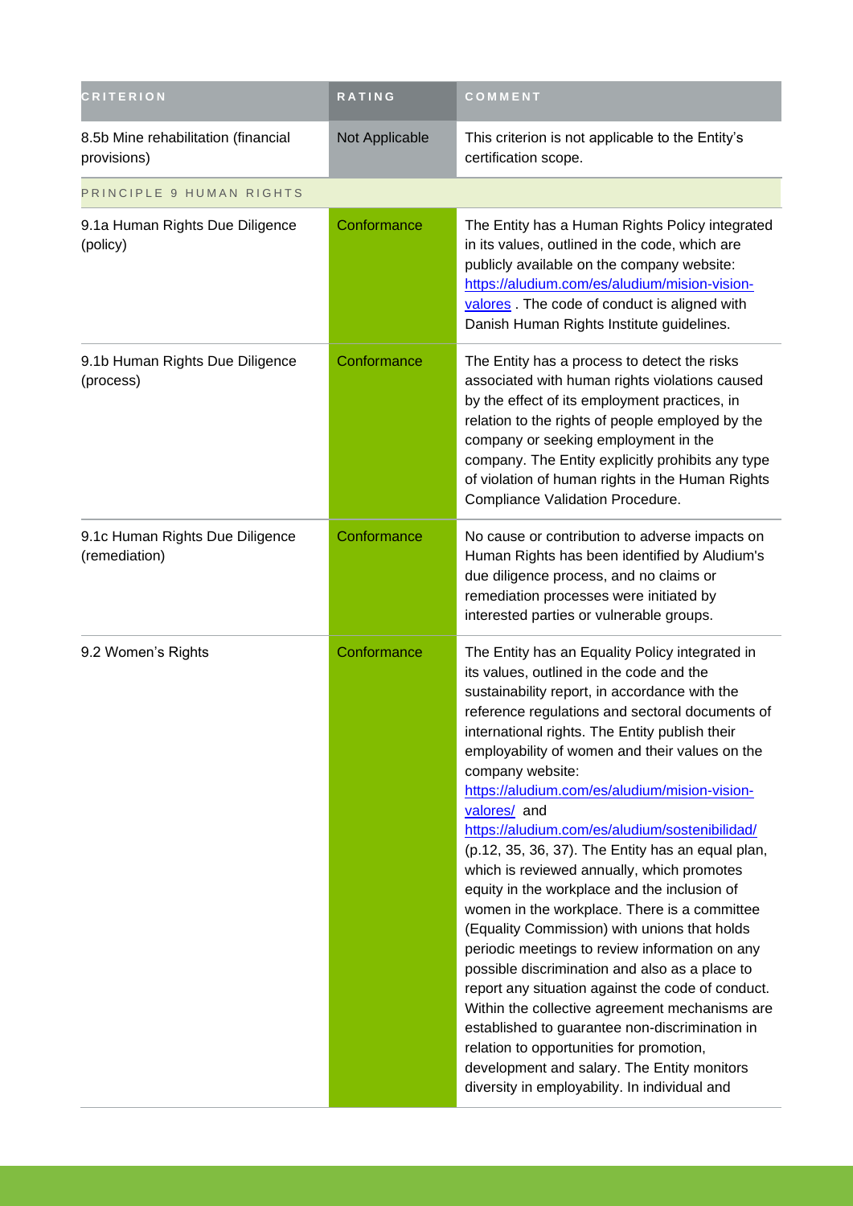| <b>CRITERION</b>                                   | RATING         | COMMENT                                                                                                                                                                                                                                                                                                                                                                                                                                                                                                                                                                                                                                                                                                                                                                                                                                                                                                                                                                                                                                                                                                |
|----------------------------------------------------|----------------|--------------------------------------------------------------------------------------------------------------------------------------------------------------------------------------------------------------------------------------------------------------------------------------------------------------------------------------------------------------------------------------------------------------------------------------------------------------------------------------------------------------------------------------------------------------------------------------------------------------------------------------------------------------------------------------------------------------------------------------------------------------------------------------------------------------------------------------------------------------------------------------------------------------------------------------------------------------------------------------------------------------------------------------------------------------------------------------------------------|
| 8.5b Mine rehabilitation (financial<br>provisions) | Not Applicable | This criterion is not applicable to the Entity's<br>certification scope.                                                                                                                                                                                                                                                                                                                                                                                                                                                                                                                                                                                                                                                                                                                                                                                                                                                                                                                                                                                                                               |
| PRINCIPLE 9 HUMAN RIGHTS                           |                |                                                                                                                                                                                                                                                                                                                                                                                                                                                                                                                                                                                                                                                                                                                                                                                                                                                                                                                                                                                                                                                                                                        |
| 9.1a Human Rights Due Diligence<br>(policy)        | Conformance    | The Entity has a Human Rights Policy integrated<br>in its values, outlined in the code, which are<br>publicly available on the company website:<br>https://aludium.com/es/aludium/mision-vision-<br>valores. The code of conduct is aligned with<br>Danish Human Rights Institute guidelines.                                                                                                                                                                                                                                                                                                                                                                                                                                                                                                                                                                                                                                                                                                                                                                                                          |
| 9.1b Human Rights Due Diligence<br>(process)       | Conformance    | The Entity has a process to detect the risks<br>associated with human rights violations caused<br>by the effect of its employment practices, in<br>relation to the rights of people employed by the<br>company or seeking employment in the<br>company. The Entity explicitly prohibits any type<br>of violation of human rights in the Human Rights<br>Compliance Validation Procedure.                                                                                                                                                                                                                                                                                                                                                                                                                                                                                                                                                                                                                                                                                                               |
| 9.1c Human Rights Due Diligence<br>(remediation)   | Conformance    | No cause or contribution to adverse impacts on<br>Human Rights has been identified by Aludium's<br>due diligence process, and no claims or<br>remediation processes were initiated by<br>interested parties or vulnerable groups.                                                                                                                                                                                                                                                                                                                                                                                                                                                                                                                                                                                                                                                                                                                                                                                                                                                                      |
| 9.2 Women's Rights                                 | Conformance    | The Entity has an Equality Policy integrated in<br>its values, outlined in the code and the<br>sustainability report, in accordance with the<br>reference regulations and sectoral documents of<br>international rights. The Entity publish their<br>employability of women and their values on the<br>company website:<br>https://aludium.com/es/aludium/mision-vision-<br>valores/ and<br>https://aludium.com/es/aludium/sostenibilidad/<br>(p.12, 35, 36, 37). The Entity has an equal plan,<br>which is reviewed annually, which promotes<br>equity in the workplace and the inclusion of<br>women in the workplace. There is a committee<br>(Equality Commission) with unions that holds<br>periodic meetings to review information on any<br>possible discrimination and also as a place to<br>report any situation against the code of conduct.<br>Within the collective agreement mechanisms are<br>established to guarantee non-discrimination in<br>relation to opportunities for promotion,<br>development and salary. The Entity monitors<br>diversity in employability. In individual and |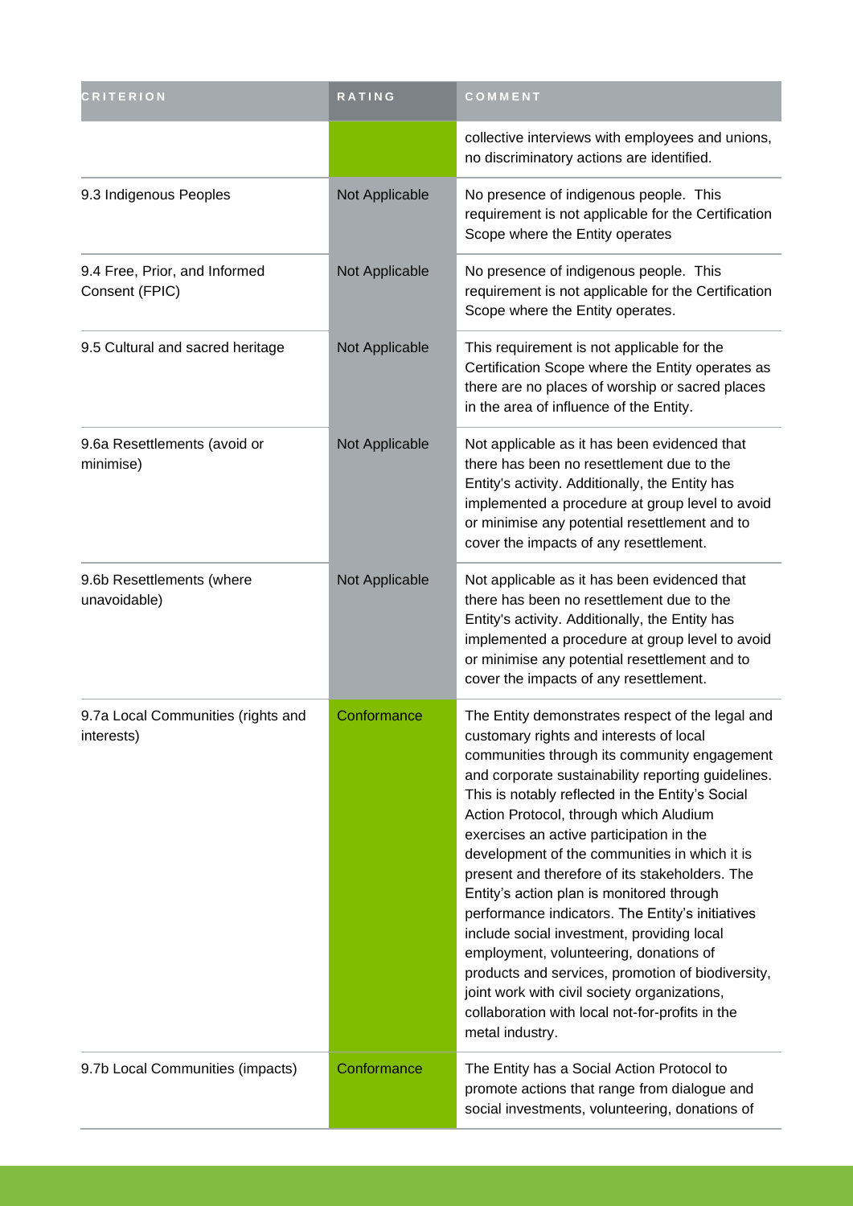| <b>CRITERION</b>                                 | RATING         | COMMENT                                                                                                                                                                                                                                                                                                                                                                                                                                                                                                                                                                                                                                                                                                                                                                                                            |
|--------------------------------------------------|----------------|--------------------------------------------------------------------------------------------------------------------------------------------------------------------------------------------------------------------------------------------------------------------------------------------------------------------------------------------------------------------------------------------------------------------------------------------------------------------------------------------------------------------------------------------------------------------------------------------------------------------------------------------------------------------------------------------------------------------------------------------------------------------------------------------------------------------|
|                                                  |                | collective interviews with employees and unions,<br>no discriminatory actions are identified.                                                                                                                                                                                                                                                                                                                                                                                                                                                                                                                                                                                                                                                                                                                      |
| 9.3 Indigenous Peoples                           | Not Applicable | No presence of indigenous people. This<br>requirement is not applicable for the Certification<br>Scope where the Entity operates                                                                                                                                                                                                                                                                                                                                                                                                                                                                                                                                                                                                                                                                                   |
| 9.4 Free, Prior, and Informed<br>Consent (FPIC)  | Not Applicable | No presence of indigenous people. This<br>requirement is not applicable for the Certification<br>Scope where the Entity operates.                                                                                                                                                                                                                                                                                                                                                                                                                                                                                                                                                                                                                                                                                  |
| 9.5 Cultural and sacred heritage                 | Not Applicable | This requirement is not applicable for the<br>Certification Scope where the Entity operates as<br>there are no places of worship or sacred places<br>in the area of influence of the Entity.                                                                                                                                                                                                                                                                                                                                                                                                                                                                                                                                                                                                                       |
| 9.6a Resettlements (avoid or<br>minimise)        | Not Applicable | Not applicable as it has been evidenced that<br>there has been no resettlement due to the<br>Entity's activity. Additionally, the Entity has<br>implemented a procedure at group level to avoid<br>or minimise any potential resettlement and to<br>cover the impacts of any resettlement.                                                                                                                                                                                                                                                                                                                                                                                                                                                                                                                         |
| 9.6b Resettlements (where<br>unavoidable)        | Not Applicable | Not applicable as it has been evidenced that<br>there has been no resettlement due to the<br>Entity's activity. Additionally, the Entity has<br>implemented a procedure at group level to avoid<br>or minimise any potential resettlement and to<br>cover the impacts of any resettlement.                                                                                                                                                                                                                                                                                                                                                                                                                                                                                                                         |
| 9.7a Local Communities (rights and<br>interests) | Conformance    | The Entity demonstrates respect of the legal and<br>customary rights and interests of local<br>communities through its community engagement<br>and corporate sustainability reporting guidelines.<br>This is notably reflected in the Entity's Social<br>Action Protocol, through which Aludium<br>exercises an active participation in the<br>development of the communities in which it is<br>present and therefore of its stakeholders. The<br>Entity's action plan is monitored through<br>performance indicators. The Entity's initiatives<br>include social investment, providing local<br>employment, volunteering, donations of<br>products and services, promotion of biodiversity,<br>joint work with civil society organizations,<br>collaboration with local not-for-profits in the<br>metal industry. |
| 9.7b Local Communities (impacts)                 | Conformance    | The Entity has a Social Action Protocol to<br>promote actions that range from dialogue and<br>social investments, volunteering, donations of                                                                                                                                                                                                                                                                                                                                                                                                                                                                                                                                                                                                                                                                       |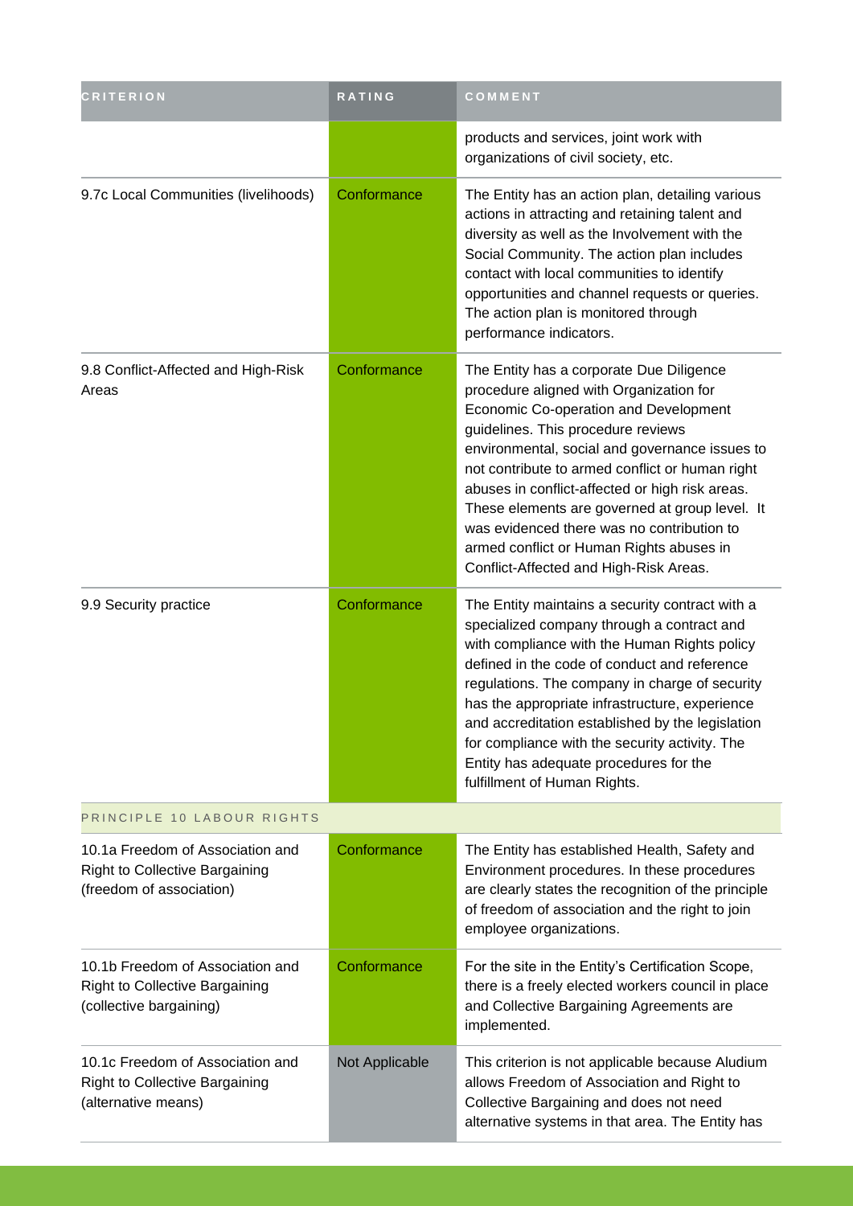| <b>CRITERION</b>                                                                                      | RATING         | COMMENT                                                                                                                                                                                                                                                                                                                                                                                                                                                                                                          |
|-------------------------------------------------------------------------------------------------------|----------------|------------------------------------------------------------------------------------------------------------------------------------------------------------------------------------------------------------------------------------------------------------------------------------------------------------------------------------------------------------------------------------------------------------------------------------------------------------------------------------------------------------------|
|                                                                                                       |                | products and services, joint work with<br>organizations of civil society, etc.                                                                                                                                                                                                                                                                                                                                                                                                                                   |
| 9.7c Local Communities (livelihoods)                                                                  | Conformance    | The Entity has an action plan, detailing various<br>actions in attracting and retaining talent and<br>diversity as well as the Involvement with the<br>Social Community. The action plan includes<br>contact with local communities to identify<br>opportunities and channel requests or queries.<br>The action plan is monitored through<br>performance indicators.                                                                                                                                             |
| 9.8 Conflict-Affected and High-Risk<br>Areas                                                          | Conformance    | The Entity has a corporate Due Diligence<br>procedure aligned with Organization for<br>Economic Co-operation and Development<br>guidelines. This procedure reviews<br>environmental, social and governance issues to<br>not contribute to armed conflict or human right<br>abuses in conflict-affected or high risk areas.<br>These elements are governed at group level. It<br>was evidenced there was no contribution to<br>armed conflict or Human Rights abuses in<br>Conflict-Affected and High-Risk Areas. |
| 9.9 Security practice                                                                                 | Conformance    | The Entity maintains a security contract with a<br>specialized company through a contract and<br>with compliance with the Human Rights policy<br>defined in the code of conduct and reference<br>regulations. The company in charge of security<br>has the appropriate infrastructure, experience<br>and accreditation established by the legislation<br>for compliance with the security activity. The<br>Entity has adequate procedures for the<br>fulfillment of Human Rights.                                |
| PRINCIPLE 10 LABOUR RIGHTS                                                                            |                |                                                                                                                                                                                                                                                                                                                                                                                                                                                                                                                  |
| 10.1a Freedom of Association and<br><b>Right to Collective Bargaining</b><br>(freedom of association) | Conformance    | The Entity has established Health, Safety and<br>Environment procedures. In these procedures<br>are clearly states the recognition of the principle<br>of freedom of association and the right to join<br>employee organizations.                                                                                                                                                                                                                                                                                |
| 10.1b Freedom of Association and<br><b>Right to Collective Bargaining</b><br>(collective bargaining)  | Conformance    | For the site in the Entity's Certification Scope,<br>there is a freely elected workers council in place<br>and Collective Bargaining Agreements are<br>implemented.                                                                                                                                                                                                                                                                                                                                              |
| 10.1c Freedom of Association and<br><b>Right to Collective Bargaining</b><br>(alternative means)      | Not Applicable | This criterion is not applicable because Aludium<br>allows Freedom of Association and Right to<br>Collective Bargaining and does not need<br>alternative systems in that area. The Entity has                                                                                                                                                                                                                                                                                                                    |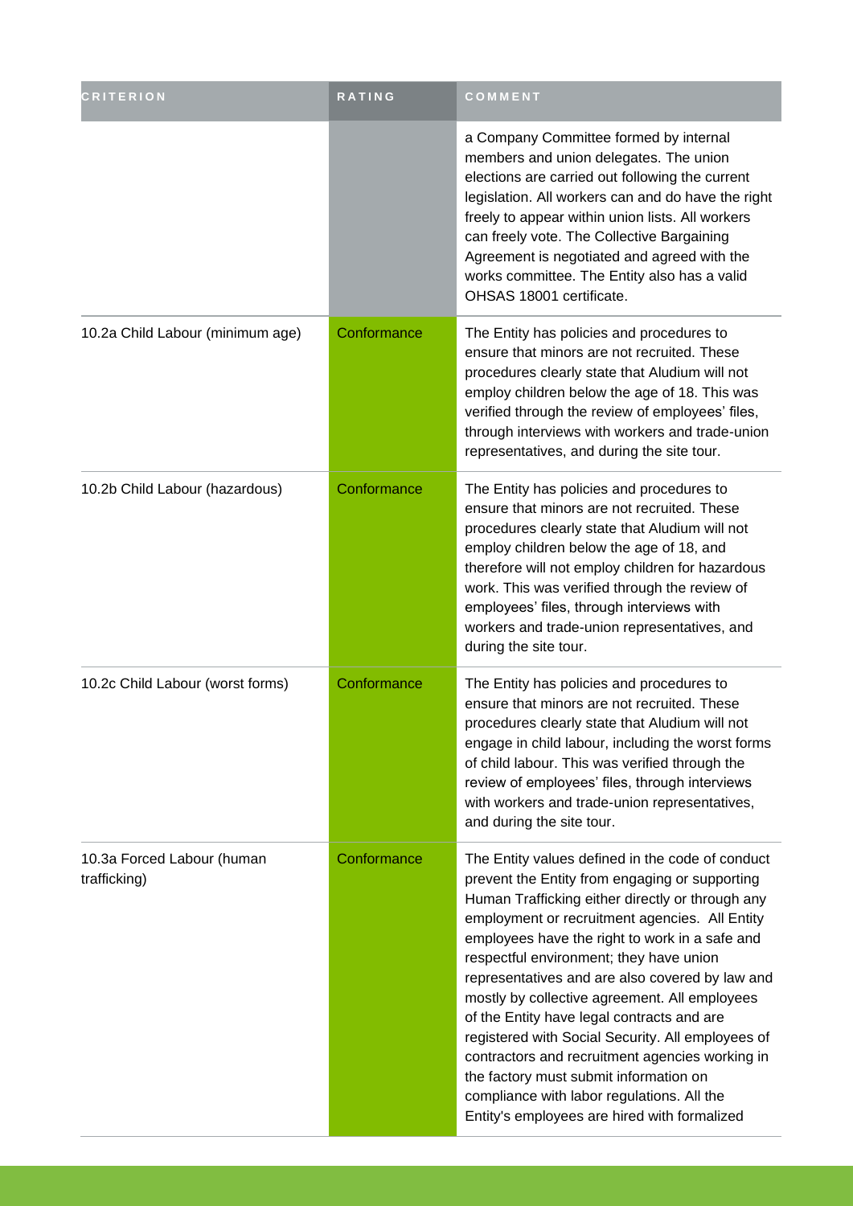| <b>CRITERION</b>                           | RATING      | COMMENT                                                                                                                                                                                                                                                                                                                                                                                                                                                                                                                                                                                                                                                                                                 |
|--------------------------------------------|-------------|---------------------------------------------------------------------------------------------------------------------------------------------------------------------------------------------------------------------------------------------------------------------------------------------------------------------------------------------------------------------------------------------------------------------------------------------------------------------------------------------------------------------------------------------------------------------------------------------------------------------------------------------------------------------------------------------------------|
|                                            |             | a Company Committee formed by internal<br>members and union delegates. The union<br>elections are carried out following the current<br>legislation. All workers can and do have the right<br>freely to appear within union lists. All workers<br>can freely vote. The Collective Bargaining<br>Agreement is negotiated and agreed with the<br>works committee. The Entity also has a valid<br>OHSAS 18001 certificate.                                                                                                                                                                                                                                                                                  |
| 10.2a Child Labour (minimum age)           | Conformance | The Entity has policies and procedures to<br>ensure that minors are not recruited. These<br>procedures clearly state that Aludium will not<br>employ children below the age of 18. This was<br>verified through the review of employees' files,<br>through interviews with workers and trade-union<br>representatives, and during the site tour.                                                                                                                                                                                                                                                                                                                                                        |
| 10.2b Child Labour (hazardous)             | Conformance | The Entity has policies and procedures to<br>ensure that minors are not recruited. These<br>procedures clearly state that Aludium will not<br>employ children below the age of 18, and<br>therefore will not employ children for hazardous<br>work. This was verified through the review of<br>employees' files, through interviews with<br>workers and trade-union representatives, and<br>during the site tour.                                                                                                                                                                                                                                                                                       |
| 10.2c Child Labour (worst forms)           | Conformance | The Entity has policies and procedures to<br>ensure that minors are not recruited. These<br>procedures clearly state that Aludium will not<br>engage in child labour, including the worst forms<br>of child labour. This was verified through the<br>review of employees' files, through interviews<br>with workers and trade-union representatives,<br>and during the site tour.                                                                                                                                                                                                                                                                                                                       |
| 10.3a Forced Labour (human<br>trafficking) | Conformance | The Entity values defined in the code of conduct<br>prevent the Entity from engaging or supporting<br>Human Trafficking either directly or through any<br>employment or recruitment agencies. All Entity<br>employees have the right to work in a safe and<br>respectful environment; they have union<br>representatives and are also covered by law and<br>mostly by collective agreement. All employees<br>of the Entity have legal contracts and are<br>registered with Social Security. All employees of<br>contractors and recruitment agencies working in<br>the factory must submit information on<br>compliance with labor regulations. All the<br>Entity's employees are hired with formalized |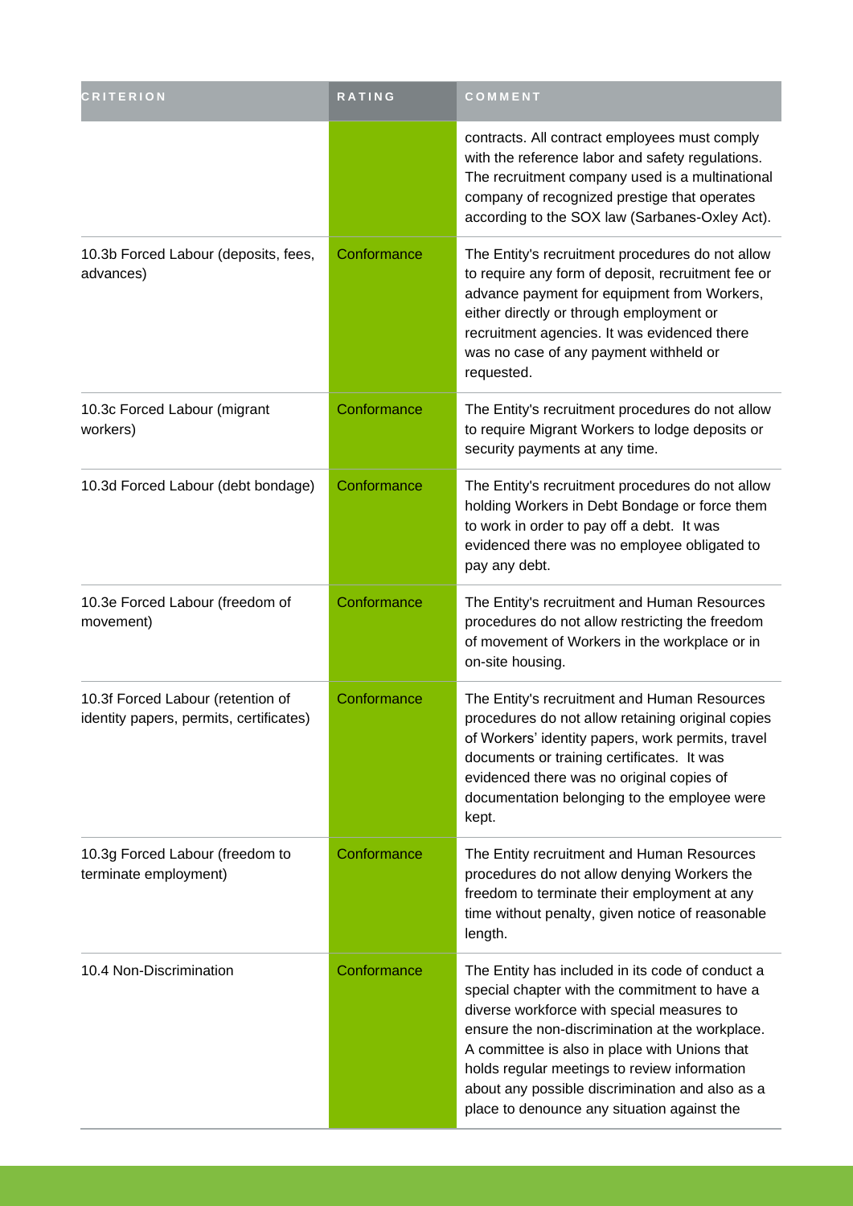| <b>CRITERION</b>                                                             | RATING      | COMMENT                                                                                                                                                                                                                                                                                                                                                                                               |
|------------------------------------------------------------------------------|-------------|-------------------------------------------------------------------------------------------------------------------------------------------------------------------------------------------------------------------------------------------------------------------------------------------------------------------------------------------------------------------------------------------------------|
|                                                                              |             | contracts. All contract employees must comply<br>with the reference labor and safety regulations.<br>The recruitment company used is a multinational<br>company of recognized prestige that operates<br>according to the SOX law (Sarbanes-Oxley Act).                                                                                                                                                |
| 10.3b Forced Labour (deposits, fees,<br>advances)                            | Conformance | The Entity's recruitment procedures do not allow<br>to require any form of deposit, recruitment fee or<br>advance payment for equipment from Workers,<br>either directly or through employment or<br>recruitment agencies. It was evidenced there<br>was no case of any payment withheld or<br>requested.                                                                                             |
| 10.3c Forced Labour (migrant<br>workers)                                     | Conformance | The Entity's recruitment procedures do not allow<br>to require Migrant Workers to lodge deposits or<br>security payments at any time.                                                                                                                                                                                                                                                                 |
| 10.3d Forced Labour (debt bondage)                                           | Conformance | The Entity's recruitment procedures do not allow<br>holding Workers in Debt Bondage or force them<br>to work in order to pay off a debt. It was<br>evidenced there was no employee obligated to<br>pay any debt.                                                                                                                                                                                      |
| 10.3e Forced Labour (freedom of<br>movement)                                 | Conformance | The Entity's recruitment and Human Resources<br>procedures do not allow restricting the freedom<br>of movement of Workers in the workplace or in<br>on-site housing.                                                                                                                                                                                                                                  |
| 10.3f Forced Labour (retention of<br>identity papers, permits, certificates) | Conformance | The Entity's recruitment and Human Resources<br>procedures do not allow retaining original copies<br>of Workers' identity papers, work permits, travel<br>documents or training certificates. It was<br>evidenced there was no original copies of<br>documentation belonging to the employee were<br>kept.                                                                                            |
| 10.3g Forced Labour (freedom to<br>terminate employment)                     | Conformance | The Entity recruitment and Human Resources<br>procedures do not allow denying Workers the<br>freedom to terminate their employment at any<br>time without penalty, given notice of reasonable<br>length.                                                                                                                                                                                              |
| 10.4 Non-Discrimination                                                      | Conformance | The Entity has included in its code of conduct a<br>special chapter with the commitment to have a<br>diverse workforce with special measures to<br>ensure the non-discrimination at the workplace.<br>A committee is also in place with Unions that<br>holds regular meetings to review information<br>about any possible discrimination and also as a<br>place to denounce any situation against the |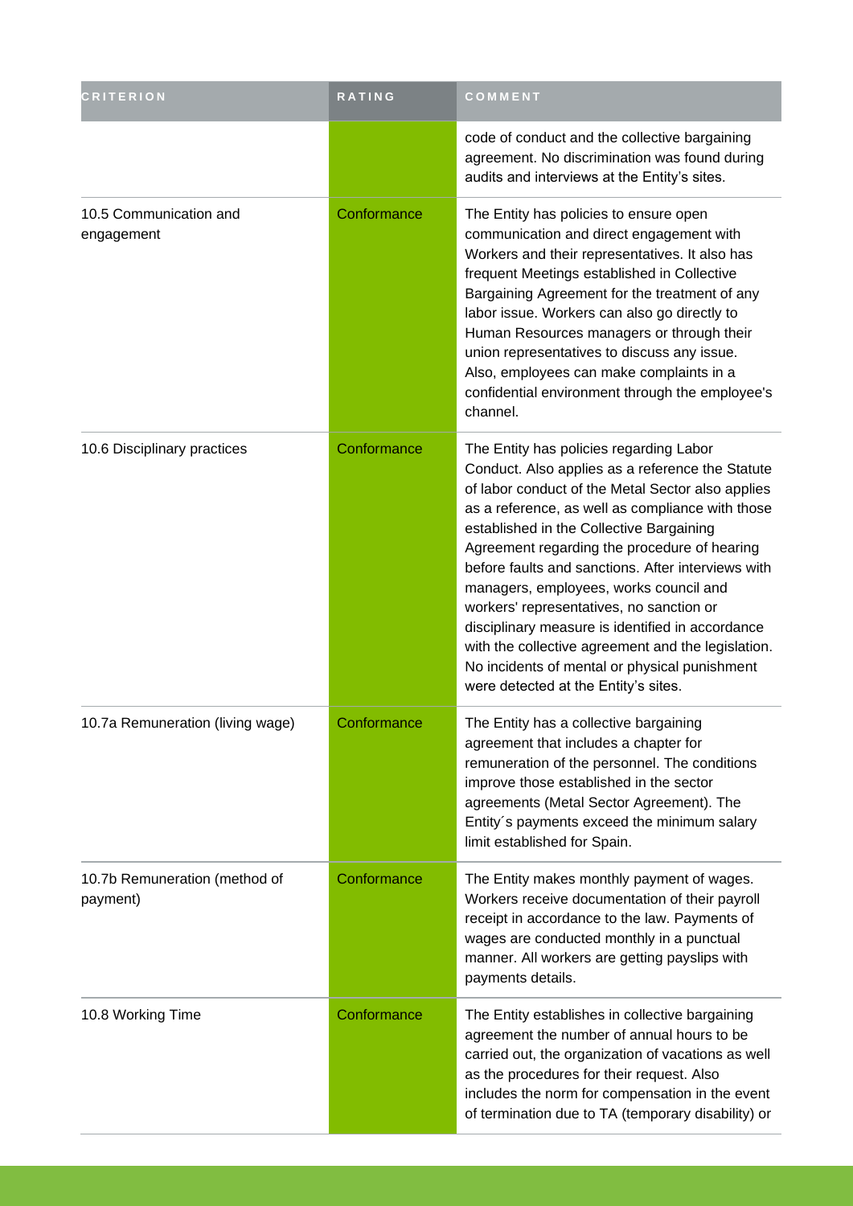| <b>CRITERION</b>                          | RATING      | COMMENT                                                                                                                                                                                                                                                                                                                                                                                                                                                                                                                                                                                                                                         |
|-------------------------------------------|-------------|-------------------------------------------------------------------------------------------------------------------------------------------------------------------------------------------------------------------------------------------------------------------------------------------------------------------------------------------------------------------------------------------------------------------------------------------------------------------------------------------------------------------------------------------------------------------------------------------------------------------------------------------------|
|                                           |             | code of conduct and the collective bargaining<br>agreement. No discrimination was found during<br>audits and interviews at the Entity's sites.                                                                                                                                                                                                                                                                                                                                                                                                                                                                                                  |
| 10.5 Communication and<br>engagement      | Conformance | The Entity has policies to ensure open<br>communication and direct engagement with<br>Workers and their representatives. It also has<br>frequent Meetings established in Collective<br>Bargaining Agreement for the treatment of any<br>labor issue. Workers can also go directly to<br>Human Resources managers or through their<br>union representatives to discuss any issue.<br>Also, employees can make complaints in a<br>confidential environment through the employee's<br>channel.                                                                                                                                                     |
| 10.6 Disciplinary practices               | Conformance | The Entity has policies regarding Labor<br>Conduct. Also applies as a reference the Statute<br>of labor conduct of the Metal Sector also applies<br>as a reference, as well as compliance with those<br>established in the Collective Bargaining<br>Agreement regarding the procedure of hearing<br>before faults and sanctions. After interviews with<br>managers, employees, works council and<br>workers' representatives, no sanction or<br>disciplinary measure is identified in accordance<br>with the collective agreement and the legislation.<br>No incidents of mental or physical punishment<br>were detected at the Entity's sites. |
| 10.7a Remuneration (living wage)          | Conformance | The Entity has a collective bargaining<br>agreement that includes a chapter for<br>remuneration of the personnel. The conditions<br>improve those established in the sector<br>agreements (Metal Sector Agreement). The<br>Entity's payments exceed the minimum salary<br>limit established for Spain.                                                                                                                                                                                                                                                                                                                                          |
| 10.7b Remuneration (method of<br>payment) | Conformance | The Entity makes monthly payment of wages.<br>Workers receive documentation of their payroll<br>receipt in accordance to the law. Payments of<br>wages are conducted monthly in a punctual<br>manner. All workers are getting payslips with<br>payments details.                                                                                                                                                                                                                                                                                                                                                                                |
| 10.8 Working Time                         | Conformance | The Entity establishes in collective bargaining<br>agreement the number of annual hours to be<br>carried out, the organization of vacations as well<br>as the procedures for their request. Also<br>includes the norm for compensation in the event<br>of termination due to TA (temporary disability) or                                                                                                                                                                                                                                                                                                                                       |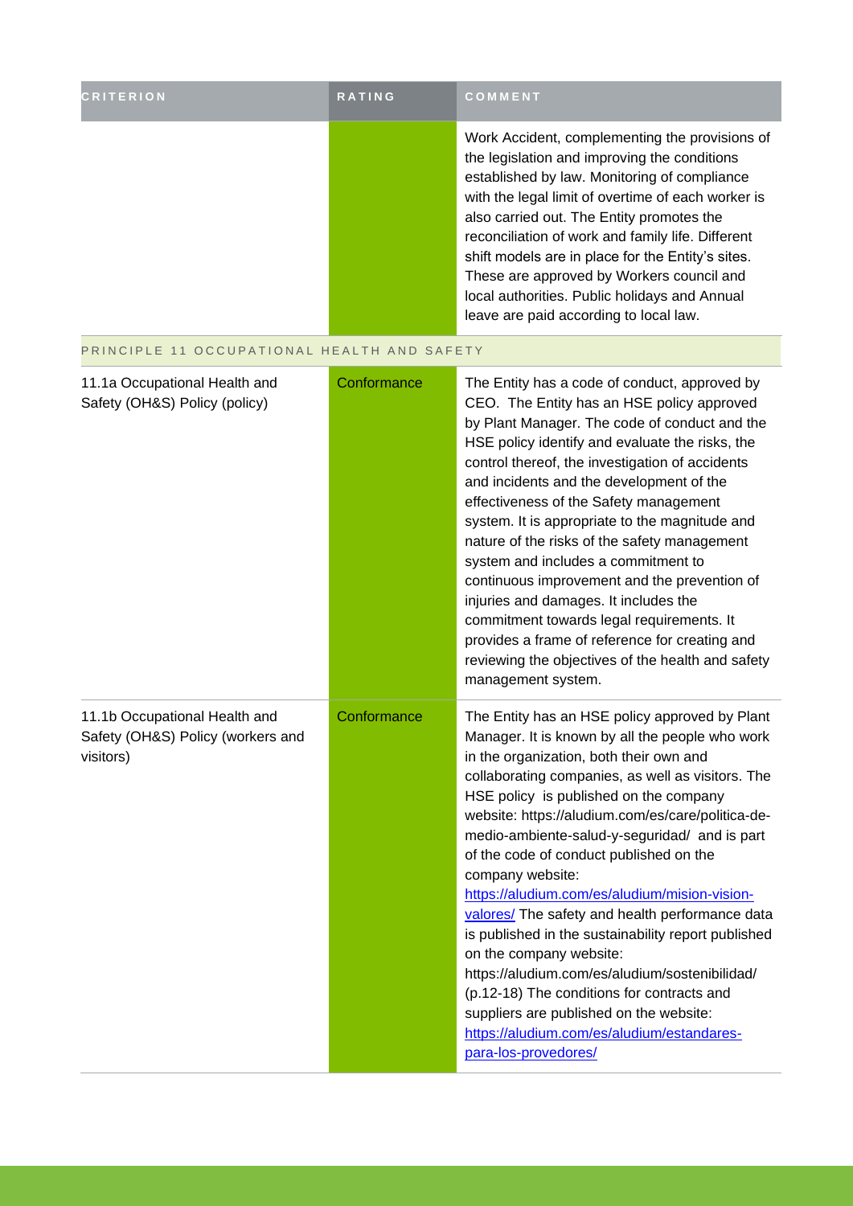| <b>CRITERION</b> | <b>RATING</b> | COMMENT                                                                                                                                                                                                                                                                                                                                                                                                                                                                                             |
|------------------|---------------|-----------------------------------------------------------------------------------------------------------------------------------------------------------------------------------------------------------------------------------------------------------------------------------------------------------------------------------------------------------------------------------------------------------------------------------------------------------------------------------------------------|
|                  |               | Work Accident, complementing the provisions of<br>the legislation and improving the conditions<br>established by law. Monitoring of compliance<br>with the legal limit of overtime of each worker is<br>also carried out. The Entity promotes the<br>reconciliation of work and family life. Different<br>shift models are in place for the Entity's sites.<br>These are approved by Workers council and<br>local authorities. Public holidays and Annual<br>leave are paid according to local law. |

the control of the control of the control of

#### PRINCIPLE 11 OCCUPATIONAL HEALTH AND SAFETY

| 11.1a Occupational Health and<br>Safety (OH&S) Policy (policy)                  | Conformance | The Entity has a code of conduct, approved by<br>CEO. The Entity has an HSE policy approved<br>by Plant Manager. The code of conduct and the<br>HSE policy identify and evaluate the risks, the<br>control thereof, the investigation of accidents<br>and incidents and the development of the<br>effectiveness of the Safety management<br>system. It is appropriate to the magnitude and<br>nature of the risks of the safety management<br>system and includes a commitment to<br>continuous improvement and the prevention of<br>injuries and damages. It includes the<br>commitment towards legal requirements. It<br>provides a frame of reference for creating and<br>reviewing the objectives of the health and safety<br>management system.                                                                    |
|---------------------------------------------------------------------------------|-------------|-------------------------------------------------------------------------------------------------------------------------------------------------------------------------------------------------------------------------------------------------------------------------------------------------------------------------------------------------------------------------------------------------------------------------------------------------------------------------------------------------------------------------------------------------------------------------------------------------------------------------------------------------------------------------------------------------------------------------------------------------------------------------------------------------------------------------|
| 11.1b Occupational Health and<br>Safety (OH&S) Policy (workers and<br>visitors) | Conformance | The Entity has an HSE policy approved by Plant<br>Manager. It is known by all the people who work<br>in the organization, both their own and<br>collaborating companies, as well as visitors. The<br>HSE policy is published on the company<br>website: https://aludium.com/es/care/politica-de-<br>medio-ambiente-salud-y-seguridad/ and is part<br>of the code of conduct published on the<br>company website:<br>https://aludium.com/es/aludium/mision-vision-<br>valores/ The safety and health performance data<br>is published in the sustainability report published<br>on the company website:<br>https://aludium.com/es/aludium/sostenibilidad/<br>(p.12-18) The conditions for contracts and<br>suppliers are published on the website:<br>https://aludium.com/es/aludium/estandares-<br>para-los-provedores/ |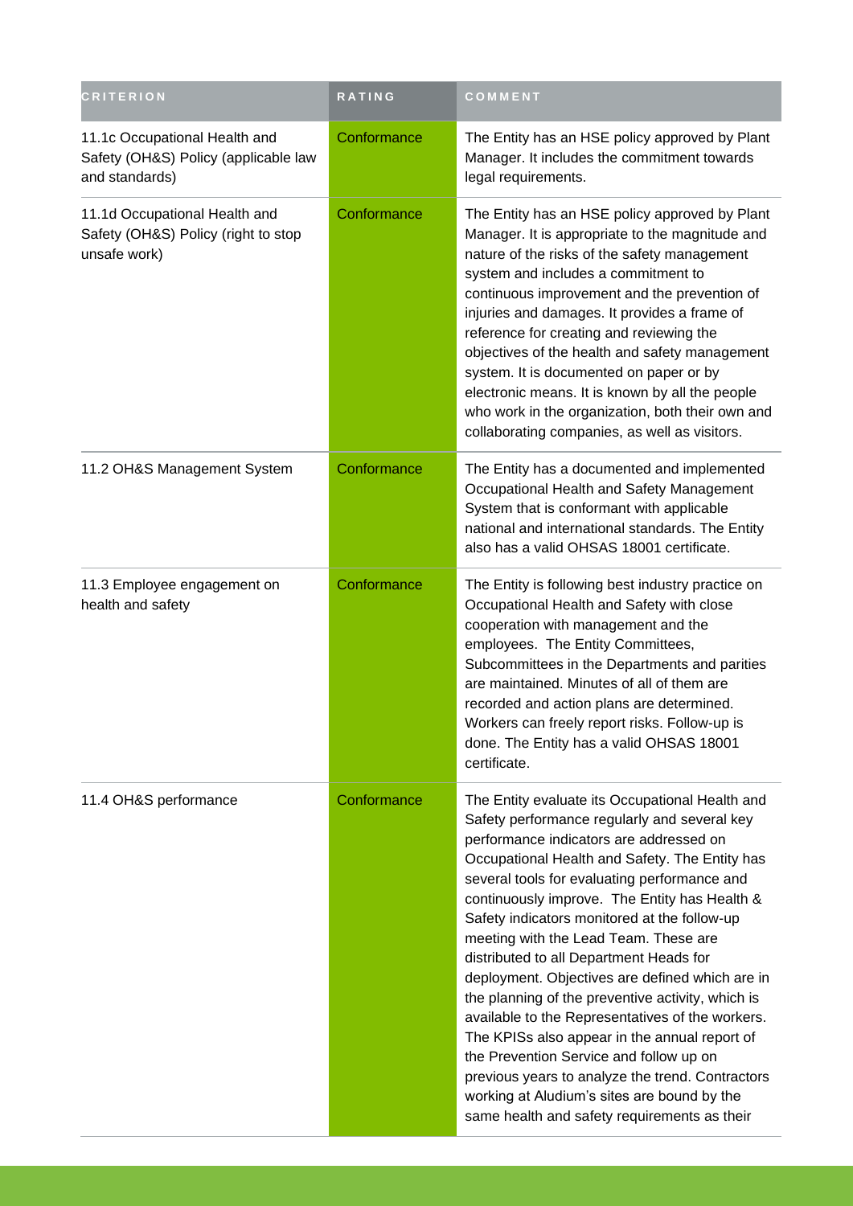| <b>CRITERION</b>                                                                        | RATING      | COMMENT                                                                                                                                                                                                                                                                                                                                                                                                                                                                                                                                                                                                                                                                                                                                                                                                                                      |
|-----------------------------------------------------------------------------------------|-------------|----------------------------------------------------------------------------------------------------------------------------------------------------------------------------------------------------------------------------------------------------------------------------------------------------------------------------------------------------------------------------------------------------------------------------------------------------------------------------------------------------------------------------------------------------------------------------------------------------------------------------------------------------------------------------------------------------------------------------------------------------------------------------------------------------------------------------------------------|
| 11.1c Occupational Health and<br>Safety (OH&S) Policy (applicable law<br>and standards) | Conformance | The Entity has an HSE policy approved by Plant<br>Manager. It includes the commitment towards<br>legal requirements.                                                                                                                                                                                                                                                                                                                                                                                                                                                                                                                                                                                                                                                                                                                         |
| 11.1d Occupational Health and<br>Safety (OH&S) Policy (right to stop<br>unsafe work)    | Conformance | The Entity has an HSE policy approved by Plant<br>Manager. It is appropriate to the magnitude and<br>nature of the risks of the safety management<br>system and includes a commitment to<br>continuous improvement and the prevention of<br>injuries and damages. It provides a frame of<br>reference for creating and reviewing the<br>objectives of the health and safety management<br>system. It is documented on paper or by<br>electronic means. It is known by all the people<br>who work in the organization, both their own and<br>collaborating companies, as well as visitors.                                                                                                                                                                                                                                                    |
| 11.2 OH&S Management System                                                             | Conformance | The Entity has a documented and implemented<br>Occupational Health and Safety Management<br>System that is conformant with applicable<br>national and international standards. The Entity<br>also has a valid OHSAS 18001 certificate.                                                                                                                                                                                                                                                                                                                                                                                                                                                                                                                                                                                                       |
| 11.3 Employee engagement on<br>health and safety                                        | Conformance | The Entity is following best industry practice on<br>Occupational Health and Safety with close<br>cooperation with management and the<br>employees. The Entity Committees,<br>Subcommittees in the Departments and parities<br>are maintained. Minutes of all of them are<br>recorded and action plans are determined.<br>Workers can freely report risks. Follow-up is<br>done. The Entity has a valid OHSAS 18001<br>certificate.                                                                                                                                                                                                                                                                                                                                                                                                          |
| 11.4 OH&S performance                                                                   | Conformance | The Entity evaluate its Occupational Health and<br>Safety performance regularly and several key<br>performance indicators are addressed on<br>Occupational Health and Safety. The Entity has<br>several tools for evaluating performance and<br>continuously improve. The Entity has Health &<br>Safety indicators monitored at the follow-up<br>meeting with the Lead Team. These are<br>distributed to all Department Heads for<br>deployment. Objectives are defined which are in<br>the planning of the preventive activity, which is<br>available to the Representatives of the workers.<br>The KPISs also appear in the annual report of<br>the Prevention Service and follow up on<br>previous years to analyze the trend. Contractors<br>working at Aludium's sites are bound by the<br>same health and safety requirements as their |